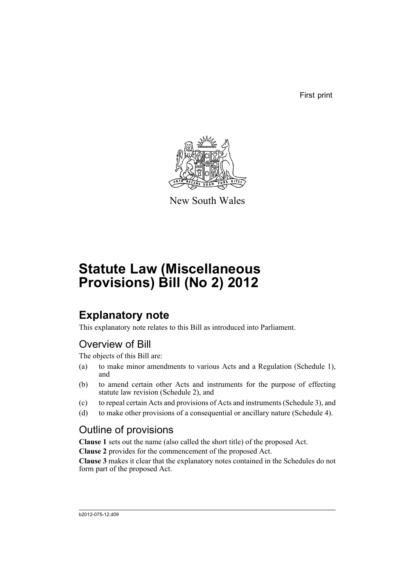First print



New South Wales

# **Statute Law (Miscellaneous Provisions) Bill (No 2) 2012**

# **Explanatory note**

This explanatory note relates to this Bill as introduced into Parliament.

# Overview of Bill

The objects of this Bill are:

- (a) to make minor amendments to various Acts and a Regulation (Schedule 1), and
- (b) to amend certain other Acts and instruments for the purpose of effecting statute law revision (Schedule 2), and
- (c) to repeal certain Acts and provisions of Acts and instruments (Schedule 3), and
- (d) to make other provisions of a consequential or ancillary nature (Schedule 4).

# Outline of provisions

**Clause 1** sets out the name (also called the short title) of the proposed Act.

**Clause 2** provides for the commencement of the proposed Act.

**Clause 3** makes it clear that the explanatory notes contained in the Schedules do not form part of the proposed Act.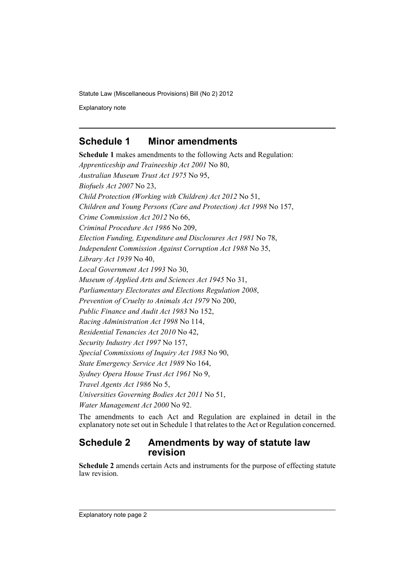Explanatory note

# **Schedule 1 Minor amendments**

**Schedule 1** makes amendments to the following Acts and Regulation: *Apprenticeship and Traineeship Act 2001* No 80, *Australian Museum Trust Act 1975* No 95, *Biofuels Act 2007* No 23, *Child Protection (Working with Children) Act 2012* No 51, *Children and Young Persons (Care and Protection) Act 1998* No 157, *Crime Commission Act 2012* No 66, *Criminal Procedure Act 1986* No 209, *Election Funding, Expenditure and Disclosures Act 1981* No 78, *Independent Commission Against Corruption Act 1988* No 35, *Library Act 1939* No 40, *Local Government Act 1993* No 30, *Museum of Applied Arts and Sciences Act 1945* No 31, *Parliamentary Electorates and Elections Regulation 2008*, *Prevention of Cruelty to Animals Act 1979* No 200, *Public Finance and Audit Act 1983* No 152, *Racing Administration Act 1998* No 114, *Residential Tenancies Act 2010* No 42, *Security Industry Act 1997* No 157, *Special Commissions of Inquiry Act 1983* No 90, *State Emergency Service Act 1989* No 164, *Sydney Opera House Trust Act 1961* No 9, *Travel Agents Act 1986* No 5, *Universities Governing Bodies Act 2011* No 51, *Water Management Act 2000* No 92.

The amendments to each Act and Regulation are explained in detail in the explanatory note set out in Schedule 1 that relates to the Act or Regulation concerned.

# **Schedule 2 Amendments by way of statute law revision**

**Schedule 2** amends certain Acts and instruments for the purpose of effecting statute law revision.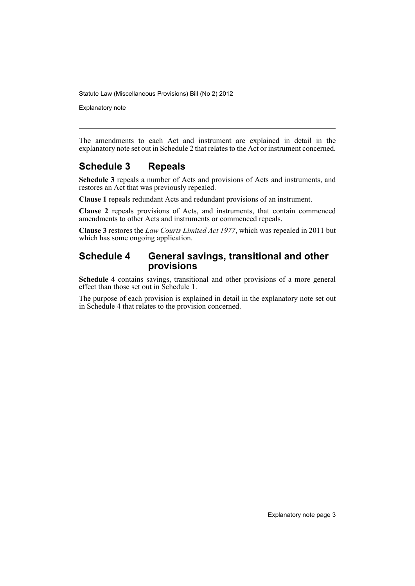Explanatory note

The amendments to each Act and instrument are explained in detail in the explanatory note set out in Schedule 2 that relates to the Act or instrument concerned.

# **Schedule 3 Repeals**

**Schedule 3** repeals a number of Acts and provisions of Acts and instruments, and restores an Act that was previously repealed.

**Clause 1** repeals redundant Acts and redundant provisions of an instrument.

**Clause 2** repeals provisions of Acts, and instruments, that contain commenced amendments to other Acts and instruments or commenced repeals.

**Clause 3** restores the *Law Courts Limited Act 1977*, which was repealed in 2011 but which has some ongoing application.

# **Schedule 4 General savings, transitional and other provisions**

**Schedule 4** contains savings, transitional and other provisions of a more general effect than those set out in Schedule 1.

The purpose of each provision is explained in detail in the explanatory note set out in Schedule 4 that relates to the provision concerned.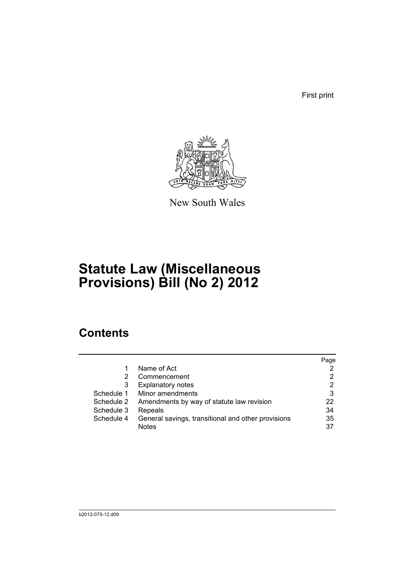First print



New South Wales

# **Statute Law (Miscellaneous Provisions) Bill (No 2) 2012**

# **Contents**

|            |                                                    | Page |
|------------|----------------------------------------------------|------|
|            | Name of Act                                        |      |
| 2          | Commencement                                       | 2    |
| 3          | <b>Explanatory notes</b>                           | 2    |
| Schedule 1 | Minor amendments                                   | 3    |
| Schedule 2 | Amendments by way of statute law revision          | 22   |
| Schedule 3 | Repeals                                            | 34   |
| Schedule 4 | General savings, transitional and other provisions | 35   |
|            | <b>Notes</b>                                       | 37   |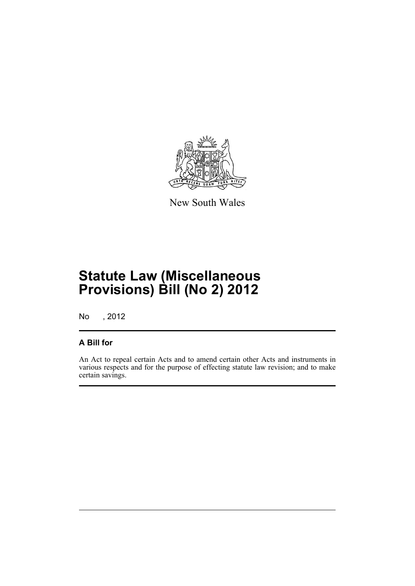

New South Wales

# **Statute Law (Miscellaneous Provisions) Bill (No 2) 2012**

No , 2012

# **A Bill for**

An Act to repeal certain Acts and to amend certain other Acts and instruments in various respects and for the purpose of effecting statute law revision; and to make certain savings.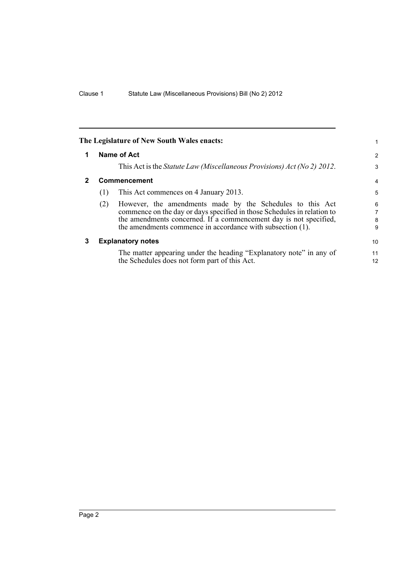<span id="page-7-2"></span><span id="page-7-1"></span><span id="page-7-0"></span>

|   |     | The Legislature of New South Wales enacts:                                                                                           | 1                    |
|---|-----|--------------------------------------------------------------------------------------------------------------------------------------|----------------------|
|   |     | Name of Act                                                                                                                          | $\overline{2}$       |
|   |     | This Act is the <i>Statute Law (Miscellaneous Provisions) Act (No 2) 2012</i> .                                                      | 3                    |
| 2 |     | Commencement                                                                                                                         | 4                    |
|   | (1) | This Act commences on 4 January 2013.                                                                                                | 5                    |
|   | (2) | However, the amendments made by the Schedules to this Act<br>commence on the day or days specified in those Schedules in relation to | $6\phantom{1}6$<br>7 |
|   |     | the amendments concerned. If a commencement day is not specified,                                                                    | 8                    |
|   |     | the amendments commence in accordance with subsection (1).                                                                           | 9                    |
| 3 |     | <b>Explanatory notes</b>                                                                                                             | 10                   |
|   |     | The matter appearing under the heading "Explanatory note" in any of<br>the Schedules does not form part of this Act.                 | 11<br>12             |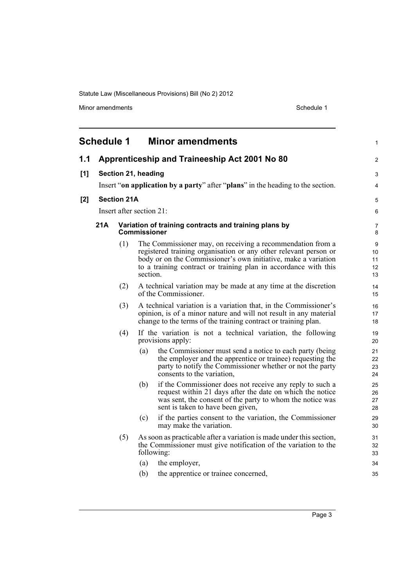Minor amendments **Schedule 1** 

<span id="page-8-0"></span>

|     | <b>Schedule 1</b>   |                    |                          | <b>Minor amendments</b>                                                                                                                                                                                                                                             | 1                         |  |  |  |
|-----|---------------------|--------------------|--------------------------|---------------------------------------------------------------------------------------------------------------------------------------------------------------------------------------------------------------------------------------------------------------------|---------------------------|--|--|--|
| 1.1 |                     |                    |                          | Apprenticeship and Traineeship Act 2001 No 80                                                                                                                                                                                                                       | 2                         |  |  |  |
| [1] | Section 21, heading |                    |                          |                                                                                                                                                                                                                                                                     |                           |  |  |  |
|     |                     |                    |                          | Insert "on application by a party" after "plans" in the heading to the section.                                                                                                                                                                                     | 4                         |  |  |  |
| [2] |                     | <b>Section 21A</b> |                          |                                                                                                                                                                                                                                                                     | 5                         |  |  |  |
|     |                     |                    | Insert after section 21: |                                                                                                                                                                                                                                                                     | 6                         |  |  |  |
|     | 21A                 |                    | <b>Commissioner</b>      | Variation of training contracts and training plans by                                                                                                                                                                                                               | 7<br>8                    |  |  |  |
|     |                     | (1)                | section.                 | The Commissioner may, on receiving a recommendation from a<br>registered training organisation or any other relevant person or<br>body or on the Commissioner's own initiative, make a variation<br>to a training contract or training plan in accordance with this | 9<br>10<br>11<br>12<br>13 |  |  |  |
|     |                     | (2)                |                          | A technical variation may be made at any time at the discretion<br>of the Commissioner.                                                                                                                                                                             | 14<br>15                  |  |  |  |
|     |                     | (3)                |                          | A technical variation is a variation that, in the Commissioner's<br>opinion, is of a minor nature and will not result in any material<br>change to the terms of the training contract or training plan.                                                             | 16<br>17<br>18            |  |  |  |
|     |                     | (4)                |                          | If the variation is not a technical variation, the following<br>provisions apply:                                                                                                                                                                                   | 19<br>20                  |  |  |  |
|     |                     |                    | (a)                      | the Commissioner must send a notice to each party (being<br>the employer and the apprentice or trainee) requesting the<br>party to notify the Commissioner whether or not the party<br>consents to the variation,                                                   | 21<br>22<br>23<br>24      |  |  |  |
|     |                     |                    | (b)                      | if the Commissioner does not receive any reply to such a<br>request within 21 days after the date on which the notice<br>was sent, the consent of the party to whom the notice was<br>sent is taken to have been given,                                             | 25<br>26<br>27<br>28      |  |  |  |
|     |                     |                    | (c)                      | if the parties consent to the variation, the Commissioner<br>may make the variation.                                                                                                                                                                                | 29<br>30                  |  |  |  |
|     |                     | (5)                | following:               | As soon as practicable after a variation is made under this section,<br>the Commissioner must give notification of the variation to the                                                                                                                             | 31<br>32<br>33            |  |  |  |
|     |                     |                    | (a)                      | the employer,                                                                                                                                                                                                                                                       | 34                        |  |  |  |
|     |                     |                    | (b)                      | the apprentice or trainee concerned,                                                                                                                                                                                                                                | 35                        |  |  |  |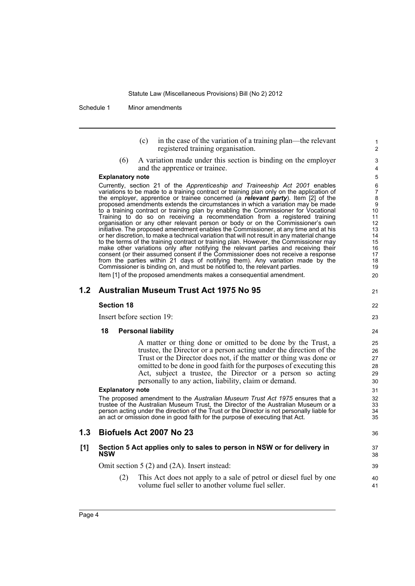Schedule 1 Minor amendments

- (c) in the case of the variation of a training plan—the relevant registered training organisation.
- (6) A variation made under this section is binding on the employer and the apprentice or trainee.

#### **Explanatory note**

Currently, section 21 of the *Apprenticeship and Traineeship Act 2001* enables variations to be made to a training contract or training plan only on the application of the employer, apprentice or trainee concerned (a *relevant party*). Item [2] of the proposed amendments extends the circumstances in which a variation may be made to a training contract or training plan by enabling the Commissioner for Vocational Training to do so on receiving a recommendation from a registered training organisation or any other relevant person or body or on the Commissioner's own initiative. The proposed amendment enables the Commissioner, at any time and at his or her discretion, to make a technical variation that will not result in any material change to the terms of the training contract or training plan. However, the Commissioner may make other variations only after notifying the relevant parties and receiving their consent (or their assumed consent if the Commissioner does not receive a response from the parties within 21 days of notifying them). Any variation made by the Commissioner is binding on, and must be notified to, the relevant parties.

Item [1] of the proposed amendments makes a consequential amendment.

## **1.2 Australian Museum Trust Act 1975 No 95**

### **Section 18**

Insert before section 19:

### **18 Personal liability**

A matter or thing done or omitted to be done by the Trust, a trustee, the Director or a person acting under the direction of the Trust or the Director does not, if the matter or thing was done or omitted to be done in good faith for the purposes of executing this Act, subject a trustee, the Director or a person so acting personally to any action, liability, claim or demand.

#### **Explanatory note**

The proposed amendment to the *Australian Museum Trust Act 1975* ensures that a trustee of the Australian Museum Trust, the Director of the Australian Museum or a person acting under the direction of the Trust or the Director is not personally liable for an act or omission done in good faith for the purpose of executing that Act.

## **1.3 Biofuels Act 2007 No 23**

#### **[1] Section 5 Act applies only to sales to person in NSW or for delivery in NSW**

Omit section 5 (2) and (2A). Insert instead:

(2) This Act does not apply to a sale of petrol or diesel fuel by one volume fuel seller to another volume fuel seller.

22 23

36

37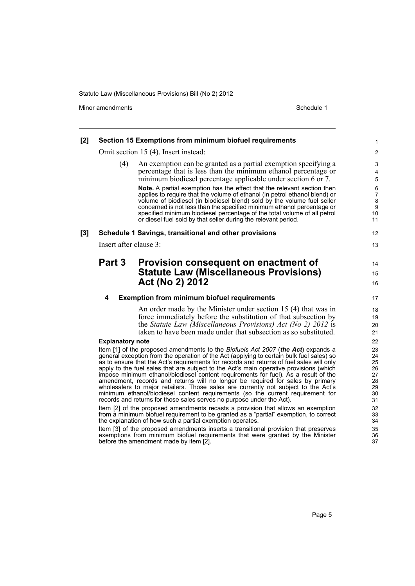before the amendment made by item [2].

Minor amendments **Schedule 1** 

| [2] | Section 15 Exemptions from minimum biofuel requirements                                                                                                                                                                                                                                                                                                                                                                                                                                                                                                                                                                                                                                                                                                                                      | $\mathbf{1}$                                                                     |
|-----|----------------------------------------------------------------------------------------------------------------------------------------------------------------------------------------------------------------------------------------------------------------------------------------------------------------------------------------------------------------------------------------------------------------------------------------------------------------------------------------------------------------------------------------------------------------------------------------------------------------------------------------------------------------------------------------------------------------------------------------------------------------------------------------------|----------------------------------------------------------------------------------|
|     | Omit section 15 (4). Insert instead:                                                                                                                                                                                                                                                                                                                                                                                                                                                                                                                                                                                                                                                                                                                                                         | $\overline{c}$                                                                   |
|     | (4)<br>An exemption can be granted as a partial exemption specifying a<br>percentage that is less than the minimum ethanol percentage or<br>minimum biodiesel percentage applicable under section 6 or 7.<br>Note. A partial exemption has the effect that the relevant section then<br>applies to require that the volume of ethanol (in petrol ethanol blend) or<br>volume of biodiesel (in biodiesel blend) sold by the volume fuel seller<br>concerned is not less than the specified minimum ethanol percentage or<br>specified minimum biodiesel percentage of the total volume of all petrol<br>or diesel fuel sold by that seller during the relevant period.                                                                                                                        | 3<br>4<br>5<br>$\,6$<br>$\overline{7}$<br>$\bf8$<br>$\boldsymbol{9}$<br>10<br>11 |
| [3] | Schedule 1 Savings, transitional and other provisions                                                                                                                                                                                                                                                                                                                                                                                                                                                                                                                                                                                                                                                                                                                                        | 12                                                                               |
|     | Insert after clause 3:                                                                                                                                                                                                                                                                                                                                                                                                                                                                                                                                                                                                                                                                                                                                                                       | 13                                                                               |
|     | Part 3<br>Provision consequent on enactment of<br><b>Statute Law (Miscellaneous Provisions)</b><br>Act (No 2) 2012                                                                                                                                                                                                                                                                                                                                                                                                                                                                                                                                                                                                                                                                           | 14<br>15<br>16                                                                   |
|     | <b>Exemption from minimum biofuel requirements</b><br>4                                                                                                                                                                                                                                                                                                                                                                                                                                                                                                                                                                                                                                                                                                                                      | 17                                                                               |
|     | An order made by the Minister under section 15 (4) that was in<br>force immediately before the substitution of that subsection by<br>the Statute Law (Miscellaneous Provisions) Act (No 2) 2012 is<br>taken to have been made under that subsection as so substituted.                                                                                                                                                                                                                                                                                                                                                                                                                                                                                                                       | 18<br>19<br>20<br>21                                                             |
|     | <b>Explanatory note</b>                                                                                                                                                                                                                                                                                                                                                                                                                                                                                                                                                                                                                                                                                                                                                                      | 22                                                                               |
|     | Item [1] of the proposed amendments to the Biofuels Act 2007 (the Act) expands a<br>general exception from the operation of the Act (applying to certain bulk fuel sales) so<br>as to ensure that the Act's requirements for records and returns of fuel sales will only<br>apply to the fuel sales that are subject to the Act's main operative provisions (which<br>impose minimum ethanol/biodiesel content requirements for fuel). As a result of the<br>amendment, records and returns will no longer be required for sales by primary<br>wholesalers to major retailers. Those sales are currently not subject to the Act's<br>minimum ethanol/biodiesel content requirements (so the current requirement for<br>records and returns for those sales serves no purpose under the Act). | 23<br>24<br>25<br>26<br>27<br>28<br>29<br>30<br>31                               |
|     | Item [2] of the proposed amendments recasts a provision that allows an exemption<br>from a minimum biofuel requirement to be granted as a "partial" exemption, to correct<br>the explanation of how such a partial exemption operates.                                                                                                                                                                                                                                                                                                                                                                                                                                                                                                                                                       | 32<br>33<br>34                                                                   |
|     | Item [3] of the proposed amendments inserts a transitional provision that preserves<br>exemptions from minimum biofuel requirements that were granted by the Minister                                                                                                                                                                                                                                                                                                                                                                                                                                                                                                                                                                                                                        | 35<br>36                                                                         |

37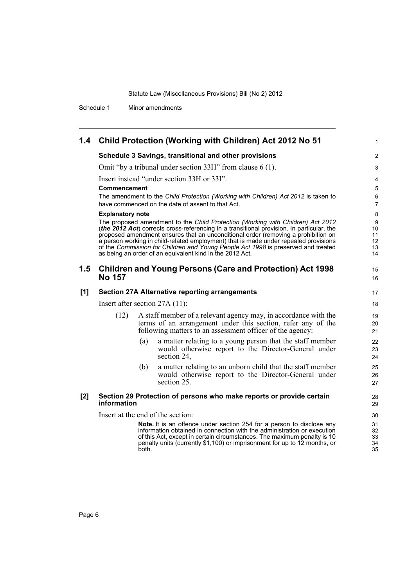Schedule 1 Minor amendments

# **1.4 Child Protection (Working with Children) Act 2012 No 51**

#### **Schedule 3 Savings, transitional and other provisions**

Omit "by a tribunal under section 33H" from clause 6 (1).

Insert instead "under section 33H or 33I".

#### **Commencement**

The amendment to the *Child Protection (Working with Children) Act 2012* is taken to have commenced on the date of assent to that Act.

1

15 16

#### **Explanatory note**

The proposed amendment to the *Child Protection (Working with Children) Act 2012* (*the 2012 Act*) corrects cross-referencing in a transitional provision. In particular, the proposed amendment ensures that an unconditional order (removing a prohibition on a person working in child-related employment) that is made under repealed provisions of the *Commission for Children and Young People Act 1998* is preserved and treated as being an order of an equivalent kind in the 2012 Act.

## **1.5 Children and Young Persons (Care and Protection) Act 1998 No 157**

#### **[1] Section 27A Alternative reporting arrangements**

Insert after section 27A (11):

- (12) A staff member of a relevant agency may, in accordance with the terms of an arrangement under this section, refer any of the following matters to an assessment officer of the agency:
	- (a) a matter relating to a young person that the staff member would otherwise report to the Director-General under section 24,
	- (b) a matter relating to an unborn child that the staff member would otherwise report to the Director-General under section 25.

#### **[2] Section 29 Protection of persons who make reports or provide certain information**

Insert at the end of the section:

**Note.** It is an offence under section 254 for a person to disclose any information obtained in connection with the administration or execution of this Act, except in certain circumstances. The maximum penalty is 10 penalty units (currently \$1,100) or imprisonment for up to 12 months, or both.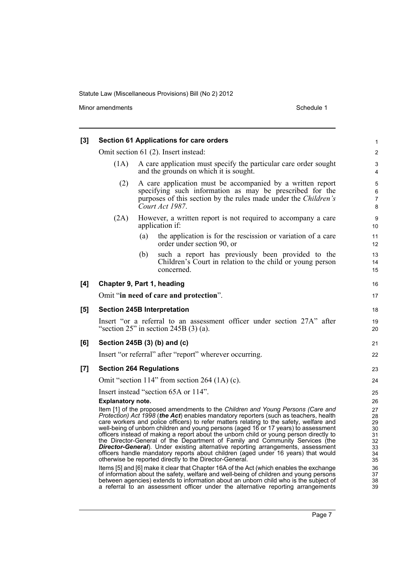Minor amendments **Schedule 1** 

| $[3]$ | <b>Section 61 Applications for care orders</b>                                                                                                                                                                                                                                                                                                                                                                                                                                                                                                                                                                                                                                                                                                                         |                                                                                                                                                                                                              |                                                                                                                                                                                                                                                                                                                                                              |                         |  |  |  |
|-------|------------------------------------------------------------------------------------------------------------------------------------------------------------------------------------------------------------------------------------------------------------------------------------------------------------------------------------------------------------------------------------------------------------------------------------------------------------------------------------------------------------------------------------------------------------------------------------------------------------------------------------------------------------------------------------------------------------------------------------------------------------------------|--------------------------------------------------------------------------------------------------------------------------------------------------------------------------------------------------------------|--------------------------------------------------------------------------------------------------------------------------------------------------------------------------------------------------------------------------------------------------------------------------------------------------------------------------------------------------------------|-------------------------|--|--|--|
|       |                                                                                                                                                                                                                                                                                                                                                                                                                                                                                                                                                                                                                                                                                                                                                                        |                                                                                                                                                                                                              | Omit section 61 (2). Insert instead:                                                                                                                                                                                                                                                                                                                         | $\overline{2}$          |  |  |  |
|       | A care application must specify the particular care order sought<br>(1A)<br>and the grounds on which it is sought.                                                                                                                                                                                                                                                                                                                                                                                                                                                                                                                                                                                                                                                     |                                                                                                                                                                                                              |                                                                                                                                                                                                                                                                                                                                                              |                         |  |  |  |
|       | (2)                                                                                                                                                                                                                                                                                                                                                                                                                                                                                                                                                                                                                                                                                                                                                                    | A care application must be accompanied by a written report<br>specifying such information as may be prescribed for the<br>purposes of this section by the rules made under the Children's<br>Court Act 1987. |                                                                                                                                                                                                                                                                                                                                                              |                         |  |  |  |
|       | (2A)                                                                                                                                                                                                                                                                                                                                                                                                                                                                                                                                                                                                                                                                                                                                                                   |                                                                                                                                                                                                              | However, a written report is not required to accompany a care<br>application if:                                                                                                                                                                                                                                                                             | 9<br>10                 |  |  |  |
|       |                                                                                                                                                                                                                                                                                                                                                                                                                                                                                                                                                                                                                                                                                                                                                                        | (a)                                                                                                                                                                                                          | the application is for the rescission or variation of a care<br>order under section 90, or                                                                                                                                                                                                                                                                   | 11<br>$12 \overline{ }$ |  |  |  |
|       |                                                                                                                                                                                                                                                                                                                                                                                                                                                                                                                                                                                                                                                                                                                                                                        | (b)                                                                                                                                                                                                          | such a report has previously been provided to the<br>Children's Court in relation to the child or young person<br>concerned.                                                                                                                                                                                                                                 | 13<br>14<br>15          |  |  |  |
| [4]   | Chapter 9, Part 1, heading                                                                                                                                                                                                                                                                                                                                                                                                                                                                                                                                                                                                                                                                                                                                             |                                                                                                                                                                                                              |                                                                                                                                                                                                                                                                                                                                                              | 16                      |  |  |  |
|       |                                                                                                                                                                                                                                                                                                                                                                                                                                                                                                                                                                                                                                                                                                                                                                        |                                                                                                                                                                                                              | Omit "in need of care and protection".                                                                                                                                                                                                                                                                                                                       | 17                      |  |  |  |
| [5]   |                                                                                                                                                                                                                                                                                                                                                                                                                                                                                                                                                                                                                                                                                                                                                                        |                                                                                                                                                                                                              | <b>Section 245B Interpretation</b>                                                                                                                                                                                                                                                                                                                           | 18                      |  |  |  |
|       | Insert "or a referral to an assessment officer under section 27A" after<br>"section $25$ " in section $245B(3)(a)$ .                                                                                                                                                                                                                                                                                                                                                                                                                                                                                                                                                                                                                                                   |                                                                                                                                                                                                              |                                                                                                                                                                                                                                                                                                                                                              |                         |  |  |  |
| [6]   | Section 245B (3) (b) and (c)                                                                                                                                                                                                                                                                                                                                                                                                                                                                                                                                                                                                                                                                                                                                           |                                                                                                                                                                                                              |                                                                                                                                                                                                                                                                                                                                                              |                         |  |  |  |
|       |                                                                                                                                                                                                                                                                                                                                                                                                                                                                                                                                                                                                                                                                                                                                                                        |                                                                                                                                                                                                              | Insert "or referral" after "report" wherever occurring.                                                                                                                                                                                                                                                                                                      | 22                      |  |  |  |
| $[7]$ | <b>Section 264 Regulations</b>                                                                                                                                                                                                                                                                                                                                                                                                                                                                                                                                                                                                                                                                                                                                         |                                                                                                                                                                                                              |                                                                                                                                                                                                                                                                                                                                                              | 23                      |  |  |  |
|       |                                                                                                                                                                                                                                                                                                                                                                                                                                                                                                                                                                                                                                                                                                                                                                        |                                                                                                                                                                                                              | Omit "section 114" from section 264 (1A) (c).                                                                                                                                                                                                                                                                                                                | 24                      |  |  |  |
|       |                                                                                                                                                                                                                                                                                                                                                                                                                                                                                                                                                                                                                                                                                                                                                                        |                                                                                                                                                                                                              | Insert instead "section 65A or 114".                                                                                                                                                                                                                                                                                                                         | 25                      |  |  |  |
|       | <b>Explanatory note.</b>                                                                                                                                                                                                                                                                                                                                                                                                                                                                                                                                                                                                                                                                                                                                               |                                                                                                                                                                                                              |                                                                                                                                                                                                                                                                                                                                                              | 26<br>27                |  |  |  |
|       | Item [1] of the proposed amendments to the Children and Young Persons (Care and<br>Protection) Act 1998 (the Act) enables mandatory reporters (such as teachers, health<br>care workers and police officers) to refer matters relating to the safety, welfare and<br>well-being of unborn children and young persons (aged 16 or 17 years) to assessment<br>officers instead of making a report about the unborn child or young person directly to<br>the Director-General of the Department of Family and Community Services (the<br>Director-General). Under existing alternative reporting arrangements, assessment<br>officers handle mandatory reports about children (aged under 16 years) that would<br>otherwise be reported directly to the Director-General. |                                                                                                                                                                                                              |                                                                                                                                                                                                                                                                                                                                                              |                         |  |  |  |
|       |                                                                                                                                                                                                                                                                                                                                                                                                                                                                                                                                                                                                                                                                                                                                                                        |                                                                                                                                                                                                              | Items [5] and [6] make it clear that Chapter 16A of the Act (which enables the exchange<br>of information about the safety, welfare and well-being of children and young persons<br>between agencies) extends to information about an unborn child who is the subject of<br>a referral to an assessment officer under the alternative reporting arrangements | 36<br>37<br>38<br>39    |  |  |  |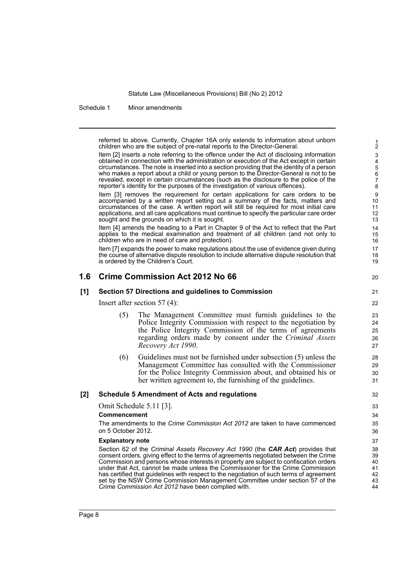Schedule 1 Minor amendments

referred to above. Currently, Chapter 16A only extends to information about unborn children who are the subject of pre-natal reports to the Director-General.

Item [2] inserts a note referring to the offence under the Act of disclosing information obtained in connection with the administration or execution of the Act except in certain circumstances. The note is inserted into a section providing that the identity of a person who makes a report about a child or young person to the Director-General is not to be revealed, except in certain circumstances (such as the disclosure to the police of the reporter's identity for the purposes of the investigation of various offences).

Item [3] removes the requirement for certain applications for care orders to be accompanied by a written report setting out a summary of the facts, matters and circumstances of the case. A written report will still be required for most initial care applications, and all care applications must continue to specify the particular care order sought and the grounds on which it is sought.

Item [4] amends the heading to a Part in Chapter 9 of the Act to reflect that the Part applies to the medical examination and treatment of all children (and not only to children who are in need of care and protection).

Item [7] expands the power to make regulations about the use of evidence given during the course of alternative dispute resolution to include alternative dispute resolution that is ordered by the Children's Court.

## **1.6 Crime Commission Act 2012 No 66**

#### **[1] Section 57 Directions and guidelines to Commission**

21  $22$ 

20

Insert after section 57 (4):

- (5) The Management Committee must furnish guidelines to the Police Integrity Commission with respect to the negotiation by the Police Integrity Commission of the terms of agreements regarding orders made by consent under the *Criminal Assets Recovery Act 1990*.
- (6) Guidelines must not be furnished under subsection (5) unless the Management Committee has consulted with the Commissioner for the Police Integrity Commission about, and obtained his or her written agreement to, the furnishing of the guidelines.

#### **[2] Schedule 5 Amendment of Acts and regulations**

Omit Schedule 5.11 [3].

### **Commencement**

The amendments to the *Crime Commission Act 2012* are taken to have commenced on 5 October 2012.

#### **Explanatory note**

Section 62 of the *Criminal Assets Recovery Act 1990* (the *CAR Act*) provides that consent orders, giving effect to the terms of agreements negotiated between the Crime Commission and persons whose interests in property are subject to confiscation orders under that Act, cannot be made unless the Commissioner for the Crime Commission has certified that guidelines with respect to the negotiation of such terms of agreement set by the NSW Crime Commission Management Committee under section 57 of the *Crime Commission Act 2012* have been complied with.

42 43 44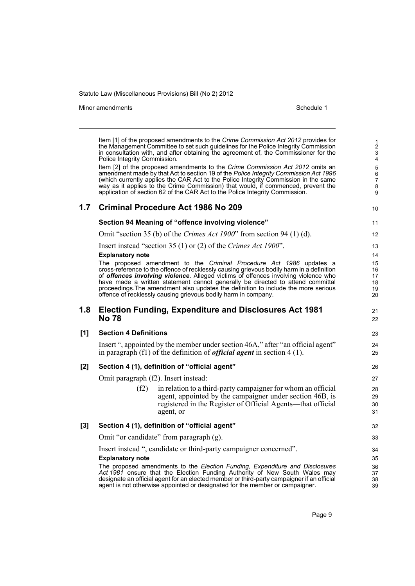Minor amendments **Schedule 1** and the state of the state 1 and the state of the Schedule 1

6 7

Item [1] of the proposed amendments to the *Crime Commission Act 2012* provides for the Management Committee to set such guidelines for the Police Integrity Commission in consultation with, and after obtaining the agreement of, the Commissioner for the Police Integrity Commission. Item [2] of the proposed amendments to the *Crime Commission Act 2012* omits an amendment made by that Act to section 19 of the *Police Integrity Commission Act 1996* (which currently applies the CAR Act to the Police Integrity Commission in the same way as it applies to the Crime Commission) that would, if commenced, prevent the application of section 62 of the CAR Act to the Police Integrity Commission. **1.7 Criminal Procedure Act 1986 No 209 Section 94 Meaning of "offence involving violence"** Omit "section 35 (b) of the *Crimes Act 1900*" from section 94 (1) (d). Insert instead "section 35 (1) or (2) of the *Crimes Act 1900*". **Explanatory note** The proposed amendment to the *Criminal Procedure Act 1986* updates a cross-reference to the offence of recklessly causing grievous bodily harm in a definition of *offences involving violence*. Alleged victims of offences involving violence who have made a written statement cannot generally be directed to attend committal proceedings.The amendment also updates the definition to include the more serious offence of recklessly causing grievous bodily harm in company. **1.8 Election Funding, Expenditure and Disclosures Act 1981 No 78 [1] Section 4 Definitions** Insert ", appointed by the member under section 46A," after "an official agent" in paragraph (f1) of the definition of *official agent* in section 4 (1). **[2] Section 4 (1), definition of "official agent"** Omit paragraph (f2). Insert instead:  $(f2)$  in relation to a third-party campaigner for whom an official agent, appointed by the campaigner under section 46B, is registered in the Register of Official Agents—that official agent, or **[3] Section 4 (1), definition of "official agent"** Omit "or candidate" from paragraph (g). Insert instead ", candidate or third-party campaigner concerned". **Explanatory note** The proposed amendments to the *Election Funding, Expenditure and Disclosures Act 1981* ensure that the Election Funding Authority of New South Wales may designate an official agent for an elected member or third-party campaigner if an official agent is not otherwise appointed or designated for the member or campaigner. 5 8 9 10 11 12 13 14 15 16 17 18 19 20 21 22 23  $24$ 25 26 27 28 29 30 31 32 33 34 35 36 37 38 39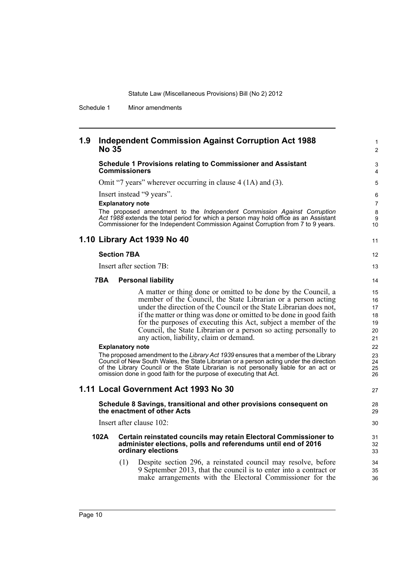Schedule 1 Minor amendments

## **1.9 Independent Commission Against Corruption Act 1988 No 35**

#### **Schedule 1 Provisions relating to Commissioner and Assistant Commissioners**

Omit "7 years" wherever occurring in clause 4 (1A) and (3).

Insert instead "9 years".

#### **Explanatory note**

The proposed amendment to the *Independent Commission Against Corruption Act 1988* extends the total period for which a person may hold office as an Assistant Commissioner for the Independent Commission Against Corruption from 7 to 9 years.

## **1.10 Library Act 1939 No 40**

#### **Section 7BA**

Insert after section 7B:

#### **7BA Personal liability**

A matter or thing done or omitted to be done by the Council, a member of the Council, the State Librarian or a person acting under the direction of the Council or the State Librarian does not, if the matter or thing was done or omitted to be done in good faith for the purposes of executing this Act, subject a member of the Council, the State Librarian or a person so acting personally to any action, liability, claim or demand.

1  $\overline{2}$ 

11

#### **Explanatory note**

The proposed amendment to the *Library Act 1939* ensures that a member of the Library Council of New South Wales, the State Librarian or a person acting under the direction of the Library Council or the State Librarian is not personally liable for an act or omission done in good faith for the purpose of executing that Act.

### **1.11 Local Government Act 1993 No 30**

#### **Schedule 8 Savings, transitional and other provisions consequent on the enactment of other Acts**

Insert after clause 102:

#### **102A Certain reinstated councils may retain Electoral Commissioner to administer elections, polls and referendums until end of 2016 ordinary elections**

(1) Despite section 296, a reinstated council may resolve, before 9 September 2013, that the council is to enter into a contract or make arrangements with the Electoral Commissioner for the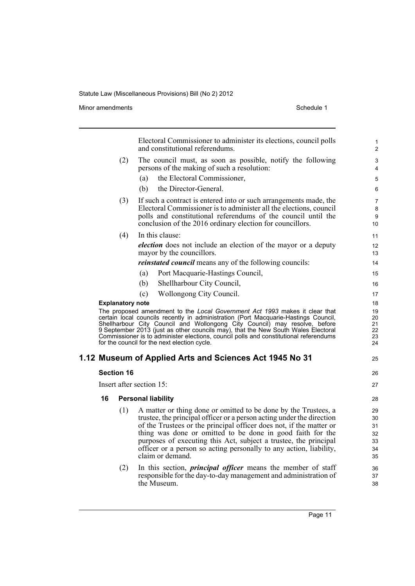Minor amendments **Schedule 1** 

| Electoral Commissioner to administer its elections, council polls<br>and constitutional referendums.                                                                                                                                                                                                                                                                                                                                                                           |                         |                                                                                                                                                                                                                                                                                                                                                                                                                                             |                                        |  |  |
|--------------------------------------------------------------------------------------------------------------------------------------------------------------------------------------------------------------------------------------------------------------------------------------------------------------------------------------------------------------------------------------------------------------------------------------------------------------------------------|-------------------------|---------------------------------------------------------------------------------------------------------------------------------------------------------------------------------------------------------------------------------------------------------------------------------------------------------------------------------------------------------------------------------------------------------------------------------------------|----------------------------------------|--|--|
|                                                                                                                                                                                                                                                                                                                                                                                                                                                                                | (2)                     | The council must, as soon as possible, notify the following<br>persons of the making of such a resolution:                                                                                                                                                                                                                                                                                                                                  | 3<br>4                                 |  |  |
|                                                                                                                                                                                                                                                                                                                                                                                                                                                                                |                         | the Electoral Commissioner,<br>(a)                                                                                                                                                                                                                                                                                                                                                                                                          | 5                                      |  |  |
|                                                                                                                                                                                                                                                                                                                                                                                                                                                                                |                         | the Director-General.<br>(b)                                                                                                                                                                                                                                                                                                                                                                                                                | 6                                      |  |  |
| (3)<br>If such a contract is entered into or such arrangements made, the<br>Electoral Commissioner is to administer all the elections, council<br>polls and constitutional referendums of the council until the<br>conclusion of the 2016 ordinary election for councillors.                                                                                                                                                                                                   |                         |                                                                                                                                                                                                                                                                                                                                                                                                                                             |                                        |  |  |
|                                                                                                                                                                                                                                                                                                                                                                                                                                                                                | (4)                     | In this clause:                                                                                                                                                                                                                                                                                                                                                                                                                             | 11                                     |  |  |
|                                                                                                                                                                                                                                                                                                                                                                                                                                                                                |                         | <i>election</i> does not include an election of the mayor or a deputy<br>mayor by the councillors.                                                                                                                                                                                                                                                                                                                                          | 12<br>13                               |  |  |
|                                                                                                                                                                                                                                                                                                                                                                                                                                                                                |                         | <i>reinstated council</i> means any of the following councils:                                                                                                                                                                                                                                                                                                                                                                              | 14                                     |  |  |
|                                                                                                                                                                                                                                                                                                                                                                                                                                                                                |                         | Port Macquarie-Hastings Council,<br>(a)                                                                                                                                                                                                                                                                                                                                                                                                     | 15                                     |  |  |
|                                                                                                                                                                                                                                                                                                                                                                                                                                                                                |                         | (b)<br>Shellharbour City Council,                                                                                                                                                                                                                                                                                                                                                                                                           | 16                                     |  |  |
|                                                                                                                                                                                                                                                                                                                                                                                                                                                                                |                         | Wollongong City Council.<br>(c)                                                                                                                                                                                                                                                                                                                                                                                                             | 17                                     |  |  |
|                                                                                                                                                                                                                                                                                                                                                                                                                                                                                | <b>Explanatory note</b> |                                                                                                                                                                                                                                                                                                                                                                                                                                             | 18                                     |  |  |
| The proposed amendment to the Local Government Act 1993 makes it clear that<br>certain local councils recently in administration (Port Macquarie-Hastings Council,<br>Shellharbour City Council and Wollongong City Council) may resolve, before<br>9 September 2013 (just as other councils may), that the New South Wales Electoral<br>Commissioner is to administer elections, council polls and constitutional referendums<br>for the council for the next election cycle. |                         |                                                                                                                                                                                                                                                                                                                                                                                                                                             |                                        |  |  |
|                                                                                                                                                                                                                                                                                                                                                                                                                                                                                |                         | 1.12 Museum of Applied Arts and Sciences Act 1945 No 31                                                                                                                                                                                                                                                                                                                                                                                     | 25                                     |  |  |
|                                                                                                                                                                                                                                                                                                                                                                                                                                                                                | <b>Section 16</b>       |                                                                                                                                                                                                                                                                                                                                                                                                                                             | 26                                     |  |  |
|                                                                                                                                                                                                                                                                                                                                                                                                                                                                                |                         | Insert after section 15:                                                                                                                                                                                                                                                                                                                                                                                                                    | 27                                     |  |  |
| 16                                                                                                                                                                                                                                                                                                                                                                                                                                                                             |                         | <b>Personal liability</b>                                                                                                                                                                                                                                                                                                                                                                                                                   | 28                                     |  |  |
|                                                                                                                                                                                                                                                                                                                                                                                                                                                                                | (1)                     | A matter or thing done or omitted to be done by the Trustees, a<br>trustee, the principal officer or a person acting under the direction<br>of the Trustees or the principal officer does not, if the matter or<br>thing was done or omitted to be done in good faith for the<br>purposes of executing this Act, subject a trustee, the principal<br>officer or a person so acting personally to any action, liability,<br>claim or demand. | 29<br>30<br>31<br>32<br>33<br>34<br>35 |  |  |
|                                                                                                                                                                                                                                                                                                                                                                                                                                                                                | (2)                     | In this section, <i>principal officer</i> means the member of staff<br>responsible for the day-to-day management and administration of<br>the Museum.                                                                                                                                                                                                                                                                                       | 36<br>37<br>38                         |  |  |
|                                                                                                                                                                                                                                                                                                                                                                                                                                                                                |                         |                                                                                                                                                                                                                                                                                                                                                                                                                                             |                                        |  |  |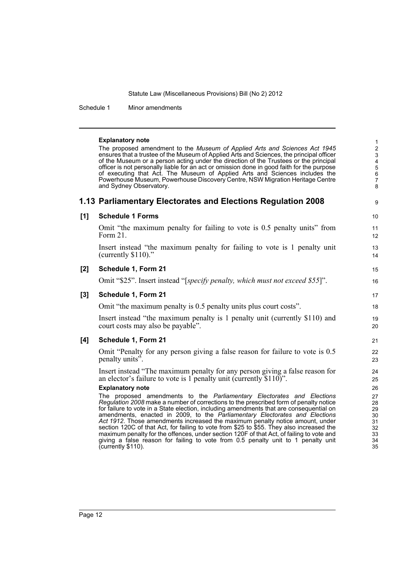Schedule 1 Minor amendments

#### **Explanatory note**

The proposed amendment to the *Museum of Applied Arts and Sciences Act 1945* ensures that a trustee of the Museum of Applied Arts and Sciences, the principal officer of the Museum or a person acting under the direction of the Trustees or the principal officer is not personally liable for an act or omission done in good faith for the purpose of executing that Act. The Museum of Applied Arts and Sciences includes the Powerhouse Museum, Powerhouse Discovery Centre, NSW Migration Heritage Centre and Sydney Observatory.

# **1.13 Parliamentary Electorates and Elections Regulation 2008**

9 10

15 16

## **[1] Schedule 1 Forms**

Omit "the maximum penalty for failing to vote is 0.5 penalty units" from Form 21.

Insert instead "the maximum penalty for failing to vote is 1 penalty unit (currently \$110)."

## **[2] Schedule 1, Form 21**

Omit "\$25". Insert instead "[*specify penalty, which must not exceed \$55*]".

## **[3] Schedule 1, Form 21**

Omit "the maximum penalty is 0.5 penalty units plus court costs".

Insert instead "the maximum penalty is 1 penalty unit (currently \$110) and court costs may also be payable".

## **[4] Schedule 1, Form 21**

Omit "Penalty for any person giving a false reason for failure to vote is 0.5 penalty units".

Insert instead "The maximum penalty for any person giving a false reason for an elector's failure to vote is 1 penalty unit (currently  $$110$ )".

#### **Explanatory note**

The proposed amendments to the *Parliamentary Electorates and Elections Regulation 2008* make a number of corrections to the prescribed form of penalty notice for failure to vote in a State election, including amendments that are consequential on amendments, enacted in 2009, to the *Parliamentary Electorates and Elections Act 1912*. Those amendments increased the maximum penalty notice amount, under section 120C of that Act, for failing to vote from \$25 to \$55. They also increased the maximum penalty for the offences, under section 120F of that Act, of failing to vote and giving a false reason for failing to vote from 0.5 penalty unit to 1 penalty unit (currently \$110).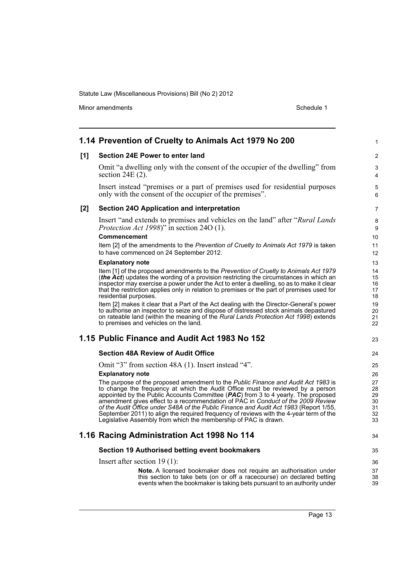Minor amendments **Schedule 1** 

| [1] | Section 24E Power to enter land                                                                                                                                                                                                                                                                                                                                                                                                                                                                                                                                                                     |                                        |
|-----|-----------------------------------------------------------------------------------------------------------------------------------------------------------------------------------------------------------------------------------------------------------------------------------------------------------------------------------------------------------------------------------------------------------------------------------------------------------------------------------------------------------------------------------------------------------------------------------------------------|----------------------------------------|
|     |                                                                                                                                                                                                                                                                                                                                                                                                                                                                                                                                                                                                     | 2                                      |
|     | Omit "a dwelling only with the consent of the occupier of the dwelling" from<br>section $24E(2)$ .                                                                                                                                                                                                                                                                                                                                                                                                                                                                                                  | 3<br>4                                 |
|     | Insert instead "premises or a part of premises used for residential purposes<br>only with the consent of the occupier of the premises".                                                                                                                                                                                                                                                                                                                                                                                                                                                             | $\mathbf 5$<br>6                       |
| [2] | Section 240 Application and interpretation                                                                                                                                                                                                                                                                                                                                                                                                                                                                                                                                                          | 7                                      |
|     | Insert "and extends to premises and vehicles on the land" after "Rural Lands"<br><i>Protection Act 1998</i> )" in section 24O (1).<br><b>Commencement</b>                                                                                                                                                                                                                                                                                                                                                                                                                                           | 8<br>9<br>10                           |
|     | Item [2] of the amendments to the Prevention of Cruelty to Animals Act 1979 is taken<br>to have commenced on 24 September 2012.                                                                                                                                                                                                                                                                                                                                                                                                                                                                     | 11<br>$12 \overline{ }$                |
|     | <b>Explanatory note</b>                                                                                                                                                                                                                                                                                                                                                                                                                                                                                                                                                                             | 13                                     |
|     | Item [1] of the proposed amendments to the Prevention of Cruelty to Animals Act 1979<br>(the Act) updates the wording of a provision restricting the circumstances in which an<br>inspector may exercise a power under the Act to enter a dwelling, so as to make it clear<br>that the restriction applies only in relation to premises or the part of premises used for<br>residential purposes.                                                                                                                                                                                                   | 14<br>15<br>16<br>17<br>18             |
|     | Item [2] makes it clear that a Part of the Act dealing with the Director-General's power<br>to authorise an inspector to seize and dispose of distressed stock animals depastured<br>on rateable land (within the meaning of the Rural Lands Protection Act 1998) extends<br>to premises and vehicles on the land.                                                                                                                                                                                                                                                                                  | 19<br>20<br>21<br>22                   |
|     | 1.15 Public Finance and Audit Act 1983 No 152                                                                                                                                                                                                                                                                                                                                                                                                                                                                                                                                                       | 23                                     |
|     | <b>Section 48A Review of Audit Office</b>                                                                                                                                                                                                                                                                                                                                                                                                                                                                                                                                                           | 24                                     |
|     | Omit "3" from section 48A (1). Insert instead "4".                                                                                                                                                                                                                                                                                                                                                                                                                                                                                                                                                  | 25                                     |
|     | <b>Explanatory note</b>                                                                                                                                                                                                                                                                                                                                                                                                                                                                                                                                                                             | 26                                     |
|     | The purpose of the proposed amendment to the Public Finance and Audit Act 1983 is<br>to change the frequency at which the Audit Office must be reviewed by a person<br>appointed by the Public Accounts Committee $(PAC)$ from 3 to 4 yearly. The proposed<br>amendment gives effect to a recommendation of PAC in Conduct of the 2009 Review<br>of the Audit Office under S48A of the Public Finance and Audit Act 1983 (Report 1/55,<br>September 2011) to align the required frequency of reviews with the 4-year term of the<br>Legislative Assembly from which the membership of PAC is drawn. | 27<br>28<br>29<br>30<br>31<br>32<br>33 |
|     | 1.16 Racing Administration Act 1998 No 114                                                                                                                                                                                                                                                                                                                                                                                                                                                                                                                                                          | 34                                     |
|     | Section 19 Authorised betting event bookmakers                                                                                                                                                                                                                                                                                                                                                                                                                                                                                                                                                      | 35                                     |
|     | Insert after section $19(1)$ :                                                                                                                                                                                                                                                                                                                                                                                                                                                                                                                                                                      | 36                                     |
|     | Note. A licensed bookmaker does not require an authorisation under                                                                                                                                                                                                                                                                                                                                                                                                                                                                                                                                  | 37                                     |
|     | this section to take bets (on or off a racecourse) on declared betting<br>events when the bookmaker is taking bets pursuant to an authority under                                                                                                                                                                                                                                                                                                                                                                                                                                                   | 38<br>39                               |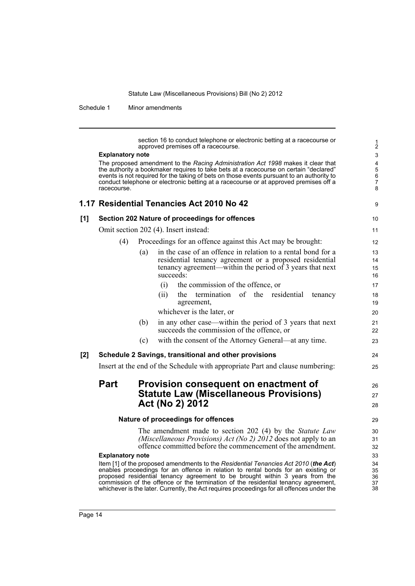Schedule 1 Minor amendments

section 16 to conduct telephone or electronic betting at a racecourse or approved premises off a racecourse.

9

24 25

26 27 28

#### **Explanatory note**

The proposed amendment to the *Racing Administration Act 1998* makes it clear that the authority a bookmaker requires to take bets at a racecourse on certain "declared" events is not required for the taking of bets on those events pursuant to an authority to conduct telephone or electronic betting at a racecourse or at approved premises off a racecourse.

#### **[1] Section 202 Nature of proceedings for offences** Omit section 202 (4). Insert instead: 10 11

(4) Proceedings for an offence against this Act may be brought:

|     |     | $110000$ and $1010000$ and $100000$ and $100000$ and $10000$ and $10000$                                                                                                                         |
|-----|-----|--------------------------------------------------------------------------------------------------------------------------------------------------------------------------------------------------|
|     | (a) | in the case of an offence in relation to a rental bond for a<br>residential tenancy agreement or a proposed residential<br>tenancy agreement—within the period of 3 years that next<br>succeeds: |
|     |     | the commission of the offence, or<br>(1)                                                                                                                                                         |
|     |     | the termination of the residential<br>tenancy<br>(11)<br>agreement,<br>whichever is the later, or                                                                                                |
|     | (b) | in any other case—within the period of 3 years that next<br>succeeds the commission of the offence, or                                                                                           |
|     | (c) | with the consent of the Attorney General—at any time.                                                                                                                                            |
| [2] |     | Schedule 2 Savings, transitional and other provisions                                                                                                                                            |

Insert at the end of the Schedule with appropriate Part and clause numbering:

# **Part Provision consequent on enactment of Statute Law (Miscellaneous Provisions) Act (No 2) 2012**

### **Nature of proceedings for offences**

The amendment made to section 202 (4) by the *Statute Law (Miscellaneous Provisions) Act (No 2) 2012* does not apply to an offence committed before the commencement of the amendment.

### **Explanatory note**

Item [1] of the proposed amendments to the *Residential Tenancies Act 2010* (*the Act*) enables proceedings for an offence in relation to rental bonds for an existing or proposed residential tenancy agreement to be brought within 3 years from the commission of the offence or the termination of the residential tenancy agreement, whichever is the later. Currently, the Act requires proceedings for all offences under the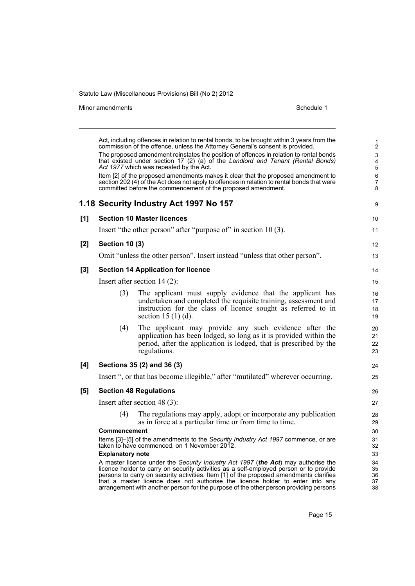Minor amendments **Schedule 1** 

|     |                         | Act, including offences in relation to rental bonds, to be brought within 3 years from the<br>commission of the offence, unless the Attorney General's consent is provided.                                                                                                                                                                                                                                                                     | $\frac{1}{2}$                                             |
|-----|-------------------------|-------------------------------------------------------------------------------------------------------------------------------------------------------------------------------------------------------------------------------------------------------------------------------------------------------------------------------------------------------------------------------------------------------------------------------------------------|-----------------------------------------------------------|
|     |                         | The proposed amendment reinstates the position of offences in relation to rental bonds<br>that existed under section 17 (2) (a) of the Landlord and Tenant (Rental Bonds)<br>Act 1977 which was repealed by the Act.                                                                                                                                                                                                                            | $\mathbf{3}$<br>$\overline{\mathbf{4}}$<br>$\overline{5}$ |
|     |                         | Item [2] of the proposed amendments makes it clear that the proposed amendment to<br>section 202 (4) of the Act does not apply to offences in relation to rental bonds that were<br>committed before the commencement of the proposed amendment.                                                                                                                                                                                                | 6<br>$\overline{7}$<br>8                                  |
|     |                         | 1.18 Security Industry Act 1997 No 157                                                                                                                                                                                                                                                                                                                                                                                                          | 9                                                         |
| [1] |                         | <b>Section 10 Master licences</b>                                                                                                                                                                                                                                                                                                                                                                                                               | 10                                                        |
|     |                         | Insert "the other person" after "purpose of" in section 10(3).                                                                                                                                                                                                                                                                                                                                                                                  | 11                                                        |
| [2] | <b>Section 10 (3)</b>   |                                                                                                                                                                                                                                                                                                                                                                                                                                                 | $12 \overline{ }$                                         |
|     |                         | Omit "unless the other person". Insert instead "unless that other person".                                                                                                                                                                                                                                                                                                                                                                      | 13                                                        |
| [3] |                         | <b>Section 14 Application for licence</b>                                                                                                                                                                                                                                                                                                                                                                                                       | 14                                                        |
|     |                         | Insert after section $14(2)$ :                                                                                                                                                                                                                                                                                                                                                                                                                  | 15                                                        |
|     | (3)                     | The applicant must supply evidence that the applicant has<br>undertaken and completed the requisite training, assessment and<br>instruction for the class of licence sought as referred to in<br>section 15 $(1)$ $(d)$ .                                                                                                                                                                                                                       | 16<br>17<br>18<br>19                                      |
|     | (4)                     | The applicant may provide any such evidence after the<br>application has been lodged, so long as it is provided within the<br>period, after the application is lodged, that is prescribed by the<br>regulations.                                                                                                                                                                                                                                | 20<br>21<br>22<br>23                                      |
| [4] |                         | Sections 35 (2) and 36 (3)                                                                                                                                                                                                                                                                                                                                                                                                                      | 24                                                        |
|     |                         | Insert ", or that has become illegible," after "mutilated" wherever occurring.                                                                                                                                                                                                                                                                                                                                                                  | 25                                                        |
| [5] |                         | <b>Section 48 Regulations</b>                                                                                                                                                                                                                                                                                                                                                                                                                   | 26                                                        |
|     |                         | Insert after section 48 $(3)$ :                                                                                                                                                                                                                                                                                                                                                                                                                 | 27                                                        |
|     | (4)                     | The regulations may apply, adopt or incorporate any publication<br>as in force at a particular time or from time to time.                                                                                                                                                                                                                                                                                                                       | 28<br>29                                                  |
|     | Commencement            |                                                                                                                                                                                                                                                                                                                                                                                                                                                 | 30                                                        |
|     |                         | Items [3]-[5] of the amendments to the Security Industry Act 1997 commence, or are<br>taken to have commenced, on 1 November 2012.                                                                                                                                                                                                                                                                                                              | 31<br>32                                                  |
|     | <b>Explanatory note</b> |                                                                                                                                                                                                                                                                                                                                                                                                                                                 | 33                                                        |
|     |                         | A master licence under the Security Industry Act 1997 (the Act) may authorise the<br>licence holder to carry on security activities as a self-employed person or to provide<br>persons to carry on security activities. Item [1] of the proposed amendments clarifies<br>that a master licence does not authorise the licence holder to enter into any<br>arrangement with another person for the purpose of the other person providing persons | 34<br>35<br>36<br>37<br>38                                |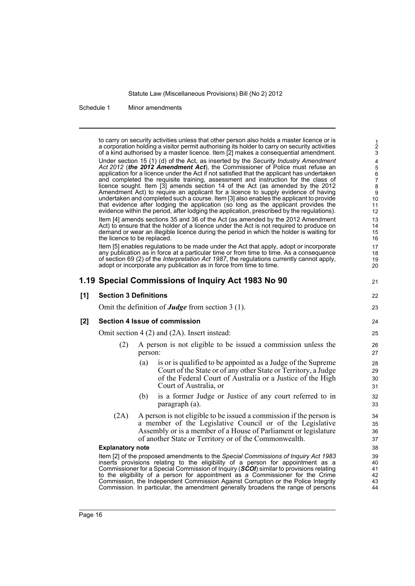Schedule 1 Minor amendments

to carry on security activities unless that other person also holds a master licence or is a corporation holding a visitor permit authorising its holder to carry on security activities of a kind authorised by a master licence. Item [2] makes a consequential amendment. Under section 15 (1) (d) of the Act, as inserted by the *Security Industry Amendment Act 2012* (*the 2012 Amendment Act*), the Commissioner of Police must refuse an application for a licence under the Act if not satisfied that the applicant has undertaken and completed the requisite training, assessment and instruction for the class of licence sought. Item [3] amends section 14 of the Act (as amended by the 2012 Amendment Act) to require an applicant for a licence to supply evidence of having undertaken and completed such a course. Item [3] also enables the applicant to provide that evidence after lodging the application (so long as the applicant provides the evidence within the period, after lodging the application, prescribed by the regulations). Item [4] amends sections 35 and 36 of the Act (as amended by the 2012 Amendment Act) to ensure that the holder of a licence under the Act is not required to produce on demand or wear an illegible licence during the period in which the holder is waiting for the licence to be replaced. Item [5] enables regulations to be made under the Act that apply, adopt or incorporate any publication as in force at a particular time or from time to time. As a consequence of section 69 (2) of the *Interpretation Act 1987*, the regulations currently cannot apply, adopt or incorporate any publication as in force from time to time. **1.19 Special Commissions of Inquiry Act 1983 No 90 [1] Section 3 Definitions** Omit the definition of *Judge* from section 3 (1). **[2] Section 4 Issue of commission** Omit section 4 (2) and (2A). Insert instead: (2) A person is not eligible to be issued a commission unless the person: (a) is or is qualified to be appointed as a Judge of the Supreme Court of the State or of any other State or Territory, a Judge of the Federal Court of Australia or a Justice of the High Court of Australia, or (b) is a former Judge or Justice of any court referred to in paragraph (a). (2A) A person is not eligible to be issued a commission if the person is a member of the Legislative Council or of the Legislative Assembly or is a member of a House of Parliament or legislature of another State or Territory or of the Commonwealth. **Explanatory note** Item [2] of the proposed amendments to the *Special Commissions of Inquiry Act 1983* inserts provisions relating to the eligibility of a person for appointment as a Commissioner for a Special Commission of Inquiry (*SCOI*) similar to provisions relating to the eligibility of a person for appointment as a Commissioner for the Crime Commission, the Independent Commission Against Corruption or the Police Integrity Commission. In particular, the amendment generally broadens the range of persons 1 2 3 4 5 6 7 8 9 10 11 12 13 14 15 16 17 18 19 20 21  $22$ 23 24 25  $26$ 27 28 29 30 31 32 33 34 35 36 37 38 39 40 41 42 43 44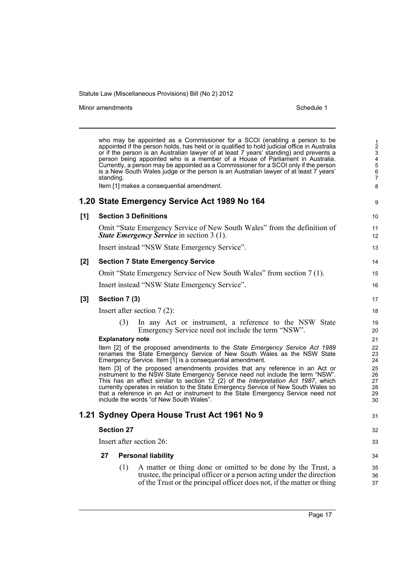Minor amendments **Schedule 1** 

|       | standing. |                         | who may be appointed as a Commissioner for a SCOI (enabling a person to be<br>appointed if the person holds, has held or is qualified to hold judicial office in Australia<br>or if the person is an Australian lawyer of at least 7 years' standing) and prevents a<br>person being appointed who is a member of a House of Parliament in Australia.<br>Currently, a person may be appointed as a Commissioner for a SCOI only if the person<br>is a New South Wales judge or the person is an Australian lawyer of at least 7 years' | $\frac{1}{2}$<br>$\mathbf{3}$<br>$\overline{\mathbf{4}}$<br>$\overline{5}$<br>$6\phantom{a}$<br>$\overline{7}$ |
|-------|-----------|-------------------------|----------------------------------------------------------------------------------------------------------------------------------------------------------------------------------------------------------------------------------------------------------------------------------------------------------------------------------------------------------------------------------------------------------------------------------------------------------------------------------------------------------------------------------------|----------------------------------------------------------------------------------------------------------------|
|       |           |                         | Item [1] makes a consequential amendment.                                                                                                                                                                                                                                                                                                                                                                                                                                                                                              | 8                                                                                                              |
|       |           |                         | 1.20 State Emergency Service Act 1989 No 164                                                                                                                                                                                                                                                                                                                                                                                                                                                                                           | 9                                                                                                              |
| [1]   |           |                         | <b>Section 3 Definitions</b>                                                                                                                                                                                                                                                                                                                                                                                                                                                                                                           | 10                                                                                                             |
|       |           |                         | Omit "State Emergency Service of New South Wales" from the definition of<br><b>State Emergency Service</b> in section 3 (1).                                                                                                                                                                                                                                                                                                                                                                                                           | 11<br>12                                                                                                       |
|       |           |                         | Insert instead "NSW State Emergency Service".                                                                                                                                                                                                                                                                                                                                                                                                                                                                                          | 13                                                                                                             |
| [2]   |           |                         | <b>Section 7 State Emergency Service</b>                                                                                                                                                                                                                                                                                                                                                                                                                                                                                               | 14                                                                                                             |
|       |           |                         | Omit "State Emergency Service of New South Wales" from section 7 (1).                                                                                                                                                                                                                                                                                                                                                                                                                                                                  | 15                                                                                                             |
|       |           |                         | Insert instead "NSW State Emergency Service".                                                                                                                                                                                                                                                                                                                                                                                                                                                                                          | 16                                                                                                             |
| $[3]$ |           | Section 7 (3)           |                                                                                                                                                                                                                                                                                                                                                                                                                                                                                                                                        | 17                                                                                                             |
|       |           |                         | Insert after section $7(2)$ :                                                                                                                                                                                                                                                                                                                                                                                                                                                                                                          | 18                                                                                                             |
|       |           | (3)                     | In any Act or instrument, a reference to the NSW State<br>Emergency Service need not include the term "NSW".                                                                                                                                                                                                                                                                                                                                                                                                                           | 19<br>20                                                                                                       |
|       |           | <b>Explanatory note</b> |                                                                                                                                                                                                                                                                                                                                                                                                                                                                                                                                        | 21                                                                                                             |
|       |           |                         | Item [2] of the proposed amendments to the State Emergency Service Act 1989<br>renames the State Emergency Service of New South Wales as the NSW State<br>Emergency Service. Item [1] is a consequential amendment.                                                                                                                                                                                                                                                                                                                    | 22<br>23<br>24                                                                                                 |
|       |           |                         | Item [3] of the proposed amendments provides that any reference in an Act or<br>instrument to the NSW State Emergency Service need not include the term "NSW".<br>This has an effect similar to section 12 (2) of the Interpretation Act 1987, which<br>currently operates in relation to the State Emergency Service of New South Wales so<br>that a reference in an Act or instrument to the State Emergency Service need not<br>include the words "of New South Wales".                                                             | 25<br>26<br>27<br>28<br>29<br>30                                                                               |
|       |           |                         | 1.21 Sydney Opera House Trust Act 1961 No 9                                                                                                                                                                                                                                                                                                                                                                                                                                                                                            | 31                                                                                                             |
|       |           | <b>Section 27</b>       |                                                                                                                                                                                                                                                                                                                                                                                                                                                                                                                                        | 32                                                                                                             |
|       |           |                         | Insert after section 26:                                                                                                                                                                                                                                                                                                                                                                                                                                                                                                               | 33                                                                                                             |
|       | 27        |                         | <b>Personal liability</b>                                                                                                                                                                                                                                                                                                                                                                                                                                                                                                              | 34                                                                                                             |
|       |           | (1)                     | A matter or thing done or omitted to be done by the Trust, a<br>trustee, the principal officer or a person acting under the direction<br>of the Trust or the principal officer does not, if the matter or thing                                                                                                                                                                                                                                                                                                                        | 35<br>36<br>37                                                                                                 |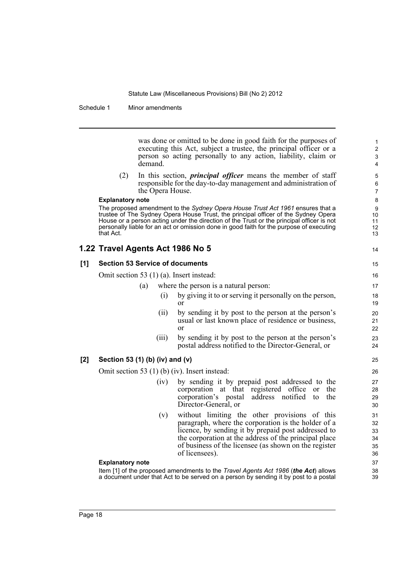Schedule 1 Minor amendments

was done or omitted to be done in good faith for the purposes of executing this Act, subject a trustee, the principal officer or a person so acting personally to any action, liability, claim or demand.

14

(2) In this section, *principal officer* means the member of staff responsible for the day-to-day management and administration of the Opera House.

#### **Explanatory note**

The proposed amendment to the *Sydney Opera House Trust Act 1961* ensures that a trustee of The Sydney Opera House Trust, the principal officer of the Sydney Opera House or a person acting under the direction of the Trust or the principal officer is not personally liable for an act or omission done in good faith for the purpose of executing that Act.

# **1.22 Travel Agents Act 1986 No 5**

## **[1] Section 53 Service of documents**

Omit section 53 (1) (a). Insert instead:

- (a) where the person is a natural person:
	- (i) by giving it to or serving it personally on the person, or
	- (ii) by sending it by post to the person at the person's usual or last known place of residence or business, or
	- (iii) by sending it by post to the person at the person's postal address notified to the Director-General, or

## **[2] Section 53 (1) (b) (iv) and (v)**

Omit section 53 (1) (b) (iv). Insert instead:

- (iv) by sending it by prepaid post addressed to the corporation at that registered office or the corporation's postal address notified to the Director-General, or
- (v) without limiting the other provisions of this paragraph, where the corporation is the holder of a licence, by sending it by prepaid post addressed to the corporation at the address of the principal place of business of the licensee (as shown on the register of licensees).

### **Explanatory note**

Item [1] of the proposed amendments to the *Travel Agents Act 1986* (*the Act*) allows a document under that Act to be served on a person by sending it by post to a postal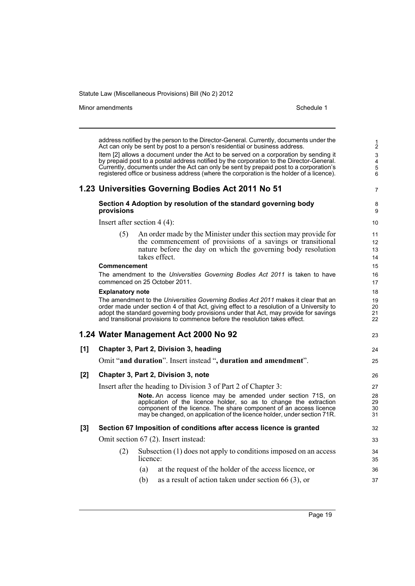Minor amendments **Schedule 1** and the state of the state 1 and the state of the Schedule 1

1 2

address notified by the person to the Director-General. Currently, documents under the Act can only be sent by post to a person's residential or business address. Item [2] allows a document under the Act to be served on a corporation by sending it by prepaid post to a postal address notified by the corporation to the Director-General. Currently, documents under the Act can only be sent by prepaid post to a corporation's registered office or business address (where the corporation is the holder of a licence). **1.23 Universities Governing Bodies Act 2011 No 51 Section 4 Adoption by resolution of the standard governing body provisions** Insert after section 4 (4): (5) An order made by the Minister under this section may provide for the commencement of provisions of a savings or transitional nature before the day on which the governing body resolution takes effect. **Commencement** The amendment to the *Universities Governing Bodies Act 2011* is taken to have commenced on 25 October 2011. **Explanatory note** The amendment to the *Universities Governing Bodies Act 2011* makes it clear that an order made under section 4 of that Act, giving effect to a resolution of a University to adopt the standard governing body provisions under that Act, may provide for savings and transitional provisions to commence before the resolution takes effect. **1.24 Water Management Act 2000 No 92 [1] Chapter 3, Part 2, Division 3, heading** Omit "**and duration**". Insert instead "**, duration and amendment**". **[2] Chapter 3, Part 2, Division 3, note** Insert after the heading to Division 3 of Part 2 of Chapter 3: **Note.** An access licence may be amended under section 71S, on application of the licence holder, so as to change the extraction component of the licence. The share component of an access licence may be changed, on application of the licence holder, under section 71R. **[3] Section 67 Imposition of conditions after access licence is granted** Omit section 67 (2). Insert instead: (2) Subsection (1) does not apply to conditions imposed on an access licence: (a) at the request of the holder of the access licence, or (b) as a result of action taken under section 66 (3), or 3 4 5 6 7 8 9 10 11 12 13 14 15 16 17 18 19 20 21 22  $23$ 24 25 26 27 28  $29$ 30 31 32 33 34 35 36 37

Page 19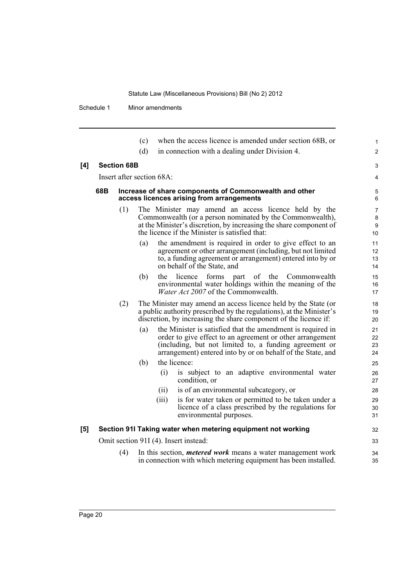Schedule 1 Minor amendments

|     |     |                    | (c)<br>(d) |                                                                                                                                                                                                            | when the access licence is amended under section 68B, or<br>in connection with a dealing under Division 4.                                                                                                                                        | 1<br>$\overline{c}$  |  |
|-----|-----|--------------------|------------|------------------------------------------------------------------------------------------------------------------------------------------------------------------------------------------------------------|---------------------------------------------------------------------------------------------------------------------------------------------------------------------------------------------------------------------------------------------------|----------------------|--|
| [4] |     | <b>Section 68B</b> |            |                                                                                                                                                                                                            |                                                                                                                                                                                                                                                   | 3                    |  |
|     |     |                    |            | Insert after section 68A:                                                                                                                                                                                  |                                                                                                                                                                                                                                                   | 4                    |  |
|     |     |                    |            |                                                                                                                                                                                                            |                                                                                                                                                                                                                                                   |                      |  |
|     | 68B |                    |            |                                                                                                                                                                                                            | Increase of share components of Commonwealth and other<br>access licences arising from arrangements                                                                                                                                               | 5<br>6               |  |
|     |     | (1)                |            |                                                                                                                                                                                                            | The Minister may amend an access licence held by the<br>Commonwealth (or a person nominated by the Commonwealth),<br>at the Minister's discretion, by increasing the share component of<br>the licence if the Minister is satisfied that:         | 7<br>8<br>9<br>10    |  |
|     |     |                    | (a)        |                                                                                                                                                                                                            | the amendment is required in order to give effect to an<br>agreement or other arrangement (including, but not limited<br>to, a funding agreement or arrangement) entered into by or<br>on behalf of the State, and                                | 11<br>12<br>13<br>14 |  |
|     |     |                    | (b)        | the                                                                                                                                                                                                        | licence<br>forms part<br>of the<br>Commonwealth<br>environmental water holdings within the meaning of the<br>Water Act 2007 of the Commonwealth.                                                                                                  | 15<br>16<br>17       |  |
|     |     | (2)                |            | The Minister may amend an access licence held by the State (or<br>a public authority prescribed by the regulations), at the Minister's<br>discretion, by increasing the share component of the licence if: |                                                                                                                                                                                                                                                   |                      |  |
|     |     |                    | (a)        |                                                                                                                                                                                                            | the Minister is satisfied that the amendment is required in<br>order to give effect to an agreement or other arrangement<br>(including, but not limited to, a funding agreement or<br>arrangement) entered into by or on behalf of the State, and | 21<br>22<br>23<br>24 |  |
|     |     |                    | (b)        |                                                                                                                                                                                                            | the licence:                                                                                                                                                                                                                                      | 25                   |  |
|     |     |                    |            | (i)                                                                                                                                                                                                        | is subject to an adaptive environmental water<br>condition, or                                                                                                                                                                                    | 26<br>27             |  |
|     |     |                    |            | (ii)                                                                                                                                                                                                       | is of an environmental subcategory, or                                                                                                                                                                                                            | 28                   |  |
|     |     |                    |            | (iii)                                                                                                                                                                                                      | is for water taken or permitted to be taken under a<br>licence of a class prescribed by the regulations for<br>environmental purposes.                                                                                                            | 29<br>30<br>31       |  |
| [5] |     |                    |            |                                                                                                                                                                                                            | Section 91I Taking water when metering equipment not working                                                                                                                                                                                      | 32                   |  |
|     |     |                    |            |                                                                                                                                                                                                            | Omit section 91I (4). Insert instead:                                                                                                                                                                                                             | 33                   |  |
|     |     | (4)                |            |                                                                                                                                                                                                            | In this section, <i>metered work</i> means a water management work<br>in connection with which metering equipment has been installed.                                                                                                             | 34<br>35             |  |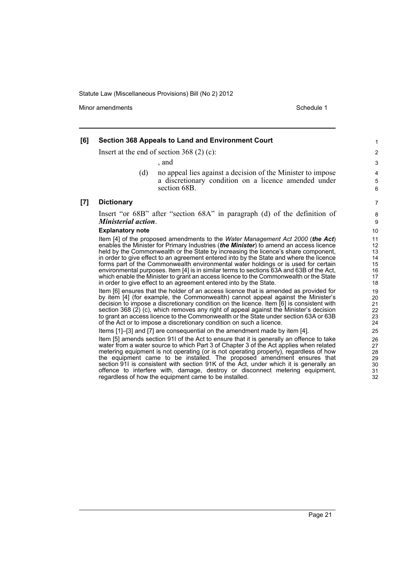Minor amendments **Schedule 1** and the state of the state 1 and the state of the Schedule 1

#### **[6] Section 368 Appeals to Land and Environment Court** Insert at the end of section 368 (2) (c): , and (d) no appeal lies against a decision of the Minister to impose a discretionary condition on a licence amended under section 68B. **[7] Dictionary** Insert "or 68B" after "section 68A" in paragraph (d) of the definition of *Ministerial action*. **Explanatory note** Item [4] of the proposed amendments to the *Water Management Act 2000* (*the Act*) enables the Minister for Primary Industries (*the Minister*) to amend an access licence held by the Commonwealth or the State by increasing the licence's share component, in order to give effect to an agreement entered into by the State and where the licence forms part of the Commonwealth environmental water holdings or is used for certain environmental purposes. Item [4] is in similar terms to sections 63A and 63B of the Act, which enable the Minister to grant an access licence to the Commonwealth or the State in order to give effect to an agreement entered into by the State. Item [6] ensures that the holder of an access licence that is amended as provided for by item [4] (for example, the Commonwealth) cannot appeal against the Minister's decision to impose a discretionary condition on the licence. Item [6] is consistent with section 368 (2) (c), which removes any right of appeal against the Minister's decision to grant an access licence to the Commonwealth or the State under section 63A or 63B of the Act or to impose a discretionary condition on such a licence. 1 2 3

Items [1]–[3] and [7] are consequential on the amendment made by item [4].

Item [5] amends section 91I of the Act to ensure that it is generally an offence to take water from a water source to which Part 3 of Chapter 3 of the Act applies when related metering equipment is not operating (or is not operating properly), regardless of how the equipment came to be installed. The proposed amendment ensures that section 91I is consistent with section 91K of the Act, under which it is generally an offence to interfere with, damage, destroy or disconnect metering equipment, regardless of how the equipment came to be installed.

32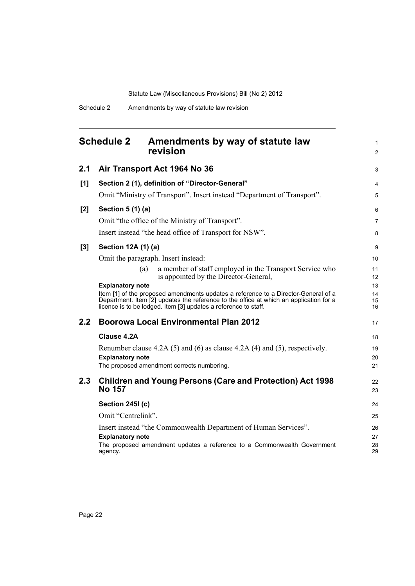<span id="page-27-0"></span>

|       | <b>Schedule 2</b><br>Amendments by way of statute law<br>revision                                                                                                                                                                               | $\mathbf{1}$<br>$\overline{2}$ |
|-------|-------------------------------------------------------------------------------------------------------------------------------------------------------------------------------------------------------------------------------------------------|--------------------------------|
| 2.1   | Air Transport Act 1964 No 36                                                                                                                                                                                                                    | 3                              |
| [1]   | Section 2 (1), definition of "Director-General"                                                                                                                                                                                                 | $\overline{4}$                 |
|       | Omit "Ministry of Transport". Insert instead "Department of Transport".                                                                                                                                                                         | 5                              |
| [2]   | Section 5 (1) (a)                                                                                                                                                                                                                               | 6                              |
|       | Omit "the office of the Ministry of Transport".                                                                                                                                                                                                 | $\overline{7}$                 |
|       | Insert instead "the head office of Transport for NSW".                                                                                                                                                                                          | 8                              |
| $[3]$ | Section 12A (1) (a)                                                                                                                                                                                                                             | 9                              |
|       | Omit the paragraph. Insert instead:                                                                                                                                                                                                             | 10                             |
|       | a member of staff employed in the Transport Service who<br>(a)<br>is appointed by the Director-General,                                                                                                                                         | 11<br>$12 \overline{ }$        |
|       | <b>Explanatory note</b>                                                                                                                                                                                                                         | 13                             |
|       | Item [1] of the proposed amendments updates a reference to a Director-General of a<br>Department. Item [2] updates the reference to the office at which an application for a<br>licence is to be lodged. Item [3] updates a reference to staff. | 14<br>15<br>16                 |
| 2.2   | <b>Boorowa Local Environmental Plan 2012</b>                                                                                                                                                                                                    | 17                             |
|       | Clause 4.2A                                                                                                                                                                                                                                     | 18                             |
|       | Renumber clause 4.2A (5) and (6) as clause 4.2A (4) and (5), respectively.                                                                                                                                                                      | 19                             |
|       | <b>Explanatory note</b><br>The proposed amendment corrects numbering.                                                                                                                                                                           | 20<br>21                       |
|       |                                                                                                                                                                                                                                                 |                                |
| 2.3   | <b>Children and Young Persons (Care and Protection) Act 1998</b><br><b>No 157</b>                                                                                                                                                               | 22<br>23                       |
|       | Section 245I (c)                                                                                                                                                                                                                                | 24                             |
|       | Omit "Centrelink".                                                                                                                                                                                                                              | 25                             |
|       | Insert instead "the Commonwealth Department of Human Services".                                                                                                                                                                                 | 26                             |
|       | <b>Explanatory note</b><br>The proposed amendment updates a reference to a Commonwealth Government<br>agency.                                                                                                                                   | 27<br>28<br>29                 |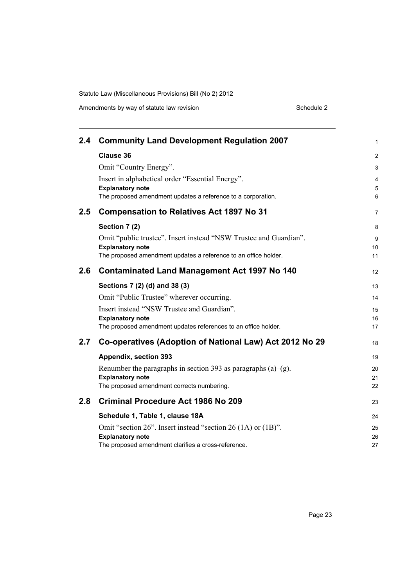| 2.4 | <b>Community Land Development Regulation 2007</b>                 | 1              |
|-----|-------------------------------------------------------------------|----------------|
|     | <b>Clause 36</b>                                                  | $\overline{2}$ |
|     | Omit "Country Energy".                                            | 3              |
|     | Insert in alphabetical order "Essential Energy".                  | 4              |
|     | <b>Explanatory note</b>                                           | 5              |
|     | The proposed amendment updates a reference to a corporation.      | 6              |
| 2.5 | <b>Compensation to Relatives Act 1897 No 31</b>                   | $\overline{7}$ |
|     | Section 7 (2)                                                     | 8              |
|     | Omit "public trustee". Insert instead "NSW Trustee and Guardian". | 9              |
|     | <b>Explanatory note</b>                                           | 10             |
|     | The proposed amendment updates a reference to an office holder.   | 11             |
| 2.6 | <b>Contaminated Land Management Act 1997 No 140</b>               | 12             |
|     | Sections 7 (2) (d) and 38 (3)                                     | 13             |
|     | Omit "Public Trustee" wherever occurring.                         | 14             |
|     | Insert instead "NSW Trustee and Guardian".                        | 15             |
|     | <b>Explanatory note</b>                                           | 16             |
|     | The proposed amendment updates references to an office holder.    | 17             |
| 2.7 | Co-operatives (Adoption of National Law) Act 2012 No 29           | 18             |
|     | Appendix, section 393                                             | 19             |
|     | Renumber the paragraphs in section 393 as paragraphs (a)–(g).     | 20             |
|     | <b>Explanatory note</b>                                           | 21             |
|     | The proposed amendment corrects numbering.                        | 22             |
| 2.8 | <b>Criminal Procedure Act 1986 No 209</b>                         | 23             |
|     | Schedule 1, Table 1, clause 18A                                   | 24             |
|     | Omit "section 26". Insert instead "section 26 (1A) or (1B)".      | 25             |
|     | <b>Explanatory note</b>                                           | 26             |
|     | The proposed amendment clarifies a cross-reference.               | 27             |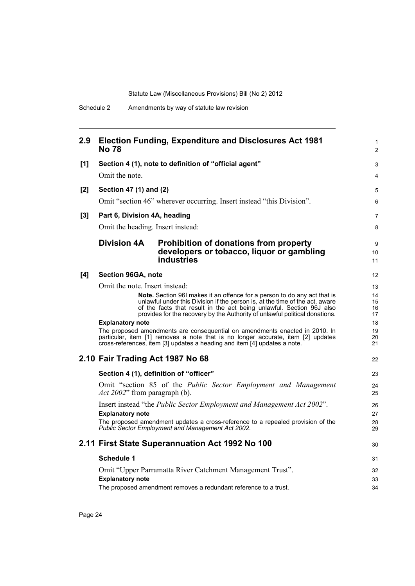| 2.9 | <b>No 78</b>                      | <b>Election Funding, Expenditure and Disclosures Act 1981</b>                                                                                                                                                                                                                                                          | $\mathbf{1}$<br>2    |
|-----|-----------------------------------|------------------------------------------------------------------------------------------------------------------------------------------------------------------------------------------------------------------------------------------------------------------------------------------------------------------------|----------------------|
| [1] |                                   | Section 4 (1), note to definition of "official agent"                                                                                                                                                                                                                                                                  | 3                    |
|     | Omit the note.                    |                                                                                                                                                                                                                                                                                                                        | 4                    |
| [2] | Section 47 (1) and (2)            |                                                                                                                                                                                                                                                                                                                        | 5                    |
|     |                                   | Omit "section 46" wherever occurring. Insert instead "this Division".                                                                                                                                                                                                                                                  | 6                    |
| [3] | Part 6, Division 4A, heading      |                                                                                                                                                                                                                                                                                                                        | $\overline{7}$       |
|     | Omit the heading. Insert instead: |                                                                                                                                                                                                                                                                                                                        | 8                    |
|     | <b>Division 4A</b>                | <b>Prohibition of donations from property</b><br>developers or tobacco, liquor or gambling<br><b>industries</b>                                                                                                                                                                                                        | 9<br>10<br>11        |
| [4] | Section 96GA, note                |                                                                                                                                                                                                                                                                                                                        | 12                   |
|     | Omit the note. Insert instead:    |                                                                                                                                                                                                                                                                                                                        | 13                   |
|     |                                   | <b>Note.</b> Section 961 makes it an offence for a person to do any act that is<br>unlawful under this Division if the person is, at the time of the act, aware<br>of the facts that result in the act being unlawful. Section 96J also<br>provides for the recovery by the Authority of unlawful political donations. | 14<br>15<br>16<br>17 |
|     | <b>Explanatory note</b>           |                                                                                                                                                                                                                                                                                                                        | 18                   |
|     |                                   | The proposed amendments are consequential on amendments enacted in 2010. In<br>particular, item [1] removes a note that is no longer accurate, item [2] updates<br>cross-references, item [3] updates a heading and item [4] updates a note.                                                                           | 19<br>20<br>21       |
|     | 2.10 Fair Trading Act 1987 No 68  |                                                                                                                                                                                                                                                                                                                        | 22                   |
|     |                                   | Section 4 (1), definition of "officer"                                                                                                                                                                                                                                                                                 | 23                   |
|     | Act 2002" from paragraph (b).     | Omit "section 85 of the Public Sector Employment and Management                                                                                                                                                                                                                                                        | 24<br>25             |
|     |                                   | Insert instead "the <i>Public Sector Employment and Management Act 2002"</i> .                                                                                                                                                                                                                                         | 26                   |
|     | <b>Explanatory note</b>           | The proposed amendment updates a cross-reference to a repealed provision of the<br>Public Sector Employment and Management Act 2002.                                                                                                                                                                                   | 27<br>28<br>29       |
|     |                                   | 2.11 First State Superannuation Act 1992 No 100                                                                                                                                                                                                                                                                        | 30                   |
|     | Schedule 1                        |                                                                                                                                                                                                                                                                                                                        | 31                   |
|     |                                   | Omit "Upper Parramatta River Catchment Management Trust".                                                                                                                                                                                                                                                              | 32                   |
|     | <b>Explanatory note</b>           |                                                                                                                                                                                                                                                                                                                        | 33                   |
|     |                                   | The proposed amendment removes a redundant reference to a trust.                                                                                                                                                                                                                                                       | 34                   |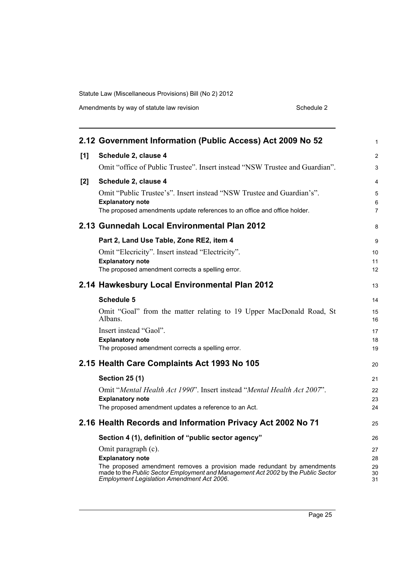| Amendments by way of statute law revision | Schedule 2 |
|-------------------------------------------|------------|
|-------------------------------------------|------------|

|     | 2.12 Government Information (Public Access) Act 2009 No 52                                                                             | $\mathbf{1}$   |
|-----|----------------------------------------------------------------------------------------------------------------------------------------|----------------|
| [1] | Schedule 2, clause 4                                                                                                                   | $\overline{2}$ |
|     | Omit "office of Public Trustee". Insert instead "NSW Trustee and Guardian".                                                            | 3              |
| [2] | Schedule 2, clause 4                                                                                                                   | 4              |
|     | Omit "Public Trustee's". Insert instead "NSW Trustee and Guardian's".                                                                  | 5<br>6         |
|     | <b>Explanatory note</b><br>The proposed amendments update references to an office and office holder.                                   | 7              |
|     | 2.13 Gunnedah Local Environmental Plan 2012                                                                                            | 8              |
|     | Part 2, Land Use Table, Zone RE2, item 4                                                                                               | 9              |
|     | Omit "Elecricity". Insert instead "Electricity".                                                                                       | 10             |
|     | <b>Explanatory note</b><br>The proposed amendment corrects a spelling error.                                                           | 11<br>12       |
|     | 2.14 Hawkesbury Local Environmental Plan 2012                                                                                          | 13             |
|     | <b>Schedule 5</b>                                                                                                                      | 14             |
|     | Omit "Goal" from the matter relating to 19 Upper MacDonald Road, St<br>Albans.                                                         | 15<br>16       |
|     | Insert instead "Gaol".                                                                                                                 | 17<br>18       |
|     | <b>Explanatory note</b><br>The proposed amendment corrects a spelling error.                                                           | 19             |
|     | 2.15 Health Care Complaints Act 1993 No 105                                                                                            | 20             |
|     | <b>Section 25 (1)</b>                                                                                                                  | 21             |
|     | Omit "Mental Health Act 1990". Insert instead "Mental Health Act 2007".                                                                | 22             |
|     | <b>Explanatory note</b><br>The proposed amendment updates a reference to an Act.                                                       | 23<br>24       |
|     | 2.16 Health Records and Information Privacy Act 2002 No 71                                                                             | 25             |
|     | Section 4 (1), definition of "public sector agency"                                                                                    | 26             |
|     | Omit paragraph (c).                                                                                                                    | 27             |
|     | <b>Explanatory note</b><br>The proposed amendment removes a provision made redundant by amendments                                     | 28<br>29       |
|     | made to the Public Sector Employment and Management Act 2002 by the Public Sector<br><b>Employment Legislation Amendment Act 2006.</b> | 30<br>31       |
|     |                                                                                                                                        |                |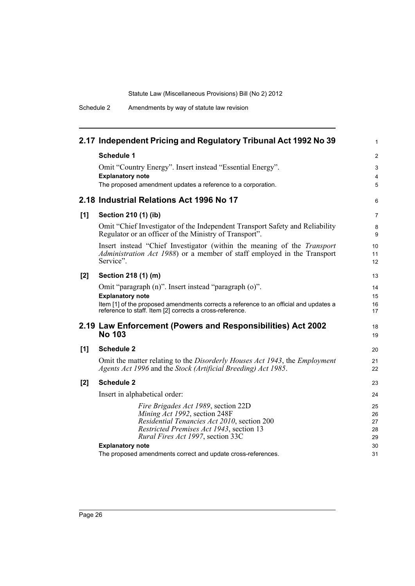Schedule 2 Amendments by way of statute law revision

|     | 2.17 Independent Pricing and Regulatory Tribunal Act 1992 No 39                                                                                                                                                                 | $\mathbf{1}$                     |
|-----|---------------------------------------------------------------------------------------------------------------------------------------------------------------------------------------------------------------------------------|----------------------------------|
|     | <b>Schedule 1</b>                                                                                                                                                                                                               | 2                                |
|     | Omit "Country Energy". Insert instead "Essential Energy".<br><b>Explanatory note</b>                                                                                                                                            | $\mathsf 3$<br>$\overline{4}$    |
|     | The proposed amendment updates a reference to a corporation.                                                                                                                                                                    | 5                                |
|     | 2.18 Industrial Relations Act 1996 No 17                                                                                                                                                                                        | 6                                |
| [1] | Section 210 (1) (ib)                                                                                                                                                                                                            | $\overline{7}$                   |
|     | Omit "Chief Investigator of the Independent Transport Safety and Reliability<br>Regulator or an officer of the Ministry of Transport".                                                                                          | 8<br>9                           |
|     | Insert instead "Chief Investigator (within the meaning of the Transport<br>Administration Act 1988) or a member of staff employed in the Transport<br>Service".                                                                 | 10<br>11<br>12                   |
| [2] | Section 218 (1) (m)                                                                                                                                                                                                             | 13                               |
|     | Omit "paragraph (n)". Insert instead "paragraph (o)".<br><b>Explanatory note</b>                                                                                                                                                | 14<br>15                         |
|     | Item [1] of the proposed amendments corrects a reference to an official and updates a<br>reference to staff. Item [2] corrects a cross-reference.                                                                               | 16<br>17                         |
|     | 2.19 Law Enforcement (Powers and Responsibilities) Act 2002<br><b>No 103</b>                                                                                                                                                    | 18<br>19                         |
| [1] | <b>Schedule 2</b>                                                                                                                                                                                                               | 20                               |
|     | Omit the matter relating to the Disorderly Houses Act 1943, the Employment<br>Agents Act 1996 and the Stock (Artificial Breeding) Act 1985.                                                                                     | 21<br>22                         |
| [2] | <b>Schedule 2</b>                                                                                                                                                                                                               | 23                               |
|     | Insert in alphabetical order:                                                                                                                                                                                                   | 24                               |
|     | Fire Brigades Act 1989, section 22D<br>Mining Act 1992, section 248F<br>Residential Tenancies Act 2010, section 200<br>Restricted Premises Act 1943, section 13<br>Rural Fires Act 1997, section 33C<br><b>Explanatory note</b> | 25<br>26<br>27<br>28<br>29<br>30 |
|     | The proposed amendments correct and update cross-references.                                                                                                                                                                    | 31                               |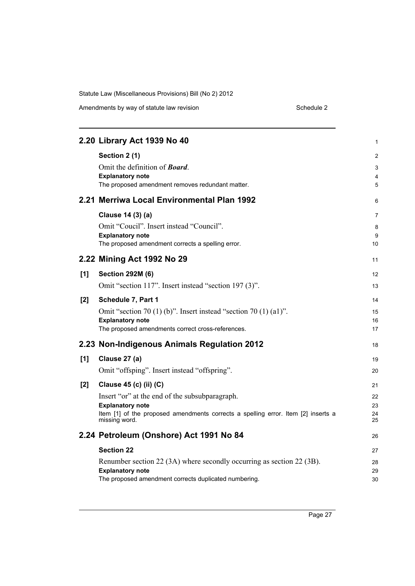Amendments by way of statute law revision example 2 Schedule 2

|     | 2.20 Library Act 1939 No 40                                                                                                                                                                               | 1                             |
|-----|-----------------------------------------------------------------------------------------------------------------------------------------------------------------------------------------------------------|-------------------------------|
|     | Section 2 (1)<br>Omit the definition of <b>Board</b> .<br><b>Explanatory note</b><br>The proposed amendment removes redundant matter.                                                                     | $\overline{c}$<br>3<br>4<br>5 |
|     | 2.21 Merriwa Local Environmental Plan 1992                                                                                                                                                                | 6                             |
|     | Clause 14 (3) (a)<br>Omit "Coucil". Insert instead "Council".<br><b>Explanatory note</b><br>The proposed amendment corrects a spelling error.                                                             | 7<br>8<br>9<br>10             |
|     | 2.22 Mining Act 1992 No 29                                                                                                                                                                                | 11                            |
| [1] | <b>Section 292M (6)</b><br>Omit "section 117". Insert instead "section 197 (3)".                                                                                                                          | 12<br>13                      |
| [2] | Schedule 7, Part 1<br>Omit "section 70 (1) (b)". Insert instead "section 70 (1) (a1)".<br><b>Explanatory note</b><br>The proposed amendments correct cross-references.                                    | 14<br>15<br>16<br>17          |
|     | 2.23 Non-Indigenous Animals Regulation 2012                                                                                                                                                               | 18                            |
| [1] | Clause 27 (a)<br>Omit "offsping". Insert instead "offspring".                                                                                                                                             | 19<br>20                      |
| [2] | Clause 45 (c) (ii) (C)<br>Insert "or" at the end of the subsubparagraph.<br><b>Explanatory note</b><br>Item [1] of the proposed amendments corrects a spelling error. Item [2] inserts a<br>missing word. | 21<br>22<br>23<br>24<br>25    |
|     | 2.24 Petroleum (Onshore) Act 1991 No 84                                                                                                                                                                   | 26                            |
|     | <b>Section 22</b><br>Renumber section 22 (3A) where secondly occurring as section 22 (3B).<br><b>Explanatory note</b><br>The proposed amendment corrects duplicated numbering.                            | 27<br>28<br>29<br>30          |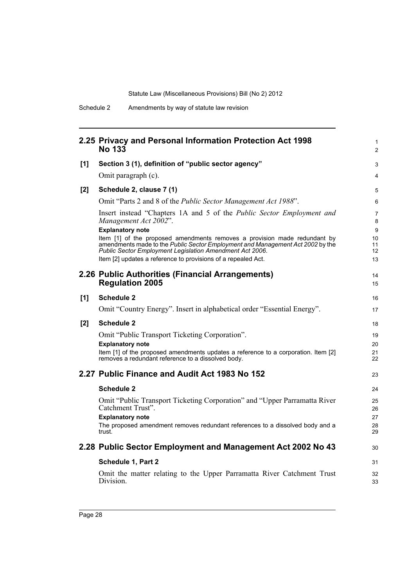|       | 2.25 Privacy and Personal Information Protection Act 1998<br><b>No 133</b>                                                                                                                                                                                                               | $\mathbf{1}$<br>$\overline{2}$ |
|-------|------------------------------------------------------------------------------------------------------------------------------------------------------------------------------------------------------------------------------------------------------------------------------------------|--------------------------------|
| [1]   | Section 3 (1), definition of "public sector agency"                                                                                                                                                                                                                                      | 3                              |
|       | Omit paragraph (c).                                                                                                                                                                                                                                                                      | 4                              |
| $[2]$ | Schedule 2, clause 7 (1)                                                                                                                                                                                                                                                                 | 5                              |
|       | Omit "Parts 2 and 8 of the Public Sector Management Act 1988".                                                                                                                                                                                                                           | 6                              |
|       | Insert instead "Chapters 1A and 5 of the Public Sector Employment and<br>Management Act 2002".<br><b>Explanatory note</b>                                                                                                                                                                | $\overline{7}$<br>8<br>9       |
|       | Item [1] of the proposed amendments removes a provision made redundant by<br>amendments made to the Public Sector Employment and Management Act 2002 by the<br>Public Sector Employment Legislation Amendment Act 2006.<br>Item [2] updates a reference to provisions of a repealed Act. | 10<br>11<br>12<br>13           |
|       | 2.26 Public Authorities (Financial Arrangements)<br><b>Regulation 2005</b>                                                                                                                                                                                                               | 14<br>15                       |
| [1]   | <b>Schedule 2</b>                                                                                                                                                                                                                                                                        | 16                             |
|       | Omit "Country Energy". Insert in alphabetical order "Essential Energy".                                                                                                                                                                                                                  | 17                             |
| [2]   | <b>Schedule 2</b>                                                                                                                                                                                                                                                                        | 18                             |
|       | Omit "Public Transport Ticketing Corporation".                                                                                                                                                                                                                                           | 19                             |
|       | <b>Explanatory note</b><br>Item [1] of the proposed amendments updates a reference to a corporation. Item [2]<br>removes a redundant reference to a dissolved body.                                                                                                                      | 20<br>21<br>22                 |
|       | 2.27 Public Finance and Audit Act 1983 No 152                                                                                                                                                                                                                                            | 23                             |
|       | <b>Schedule 2</b>                                                                                                                                                                                                                                                                        | 24                             |
|       | Omit "Public Transport Ticketing Corporation" and "Upper Parramatta River<br>Catchment Trust".<br><b>Explanatory note</b><br>The proposed amendment removes redundant references to a dissolved body and a<br>trust.                                                                     | 25<br>26<br>27<br>28<br>29     |
|       | 2.28 Public Sector Employment and Management Act 2002 No 43                                                                                                                                                                                                                              | 30                             |
|       | Schedule 1, Part 2                                                                                                                                                                                                                                                                       | 31                             |
|       | Omit the matter relating to the Upper Parramatta River Catchment Trust<br>Division.                                                                                                                                                                                                      | 32<br>33                       |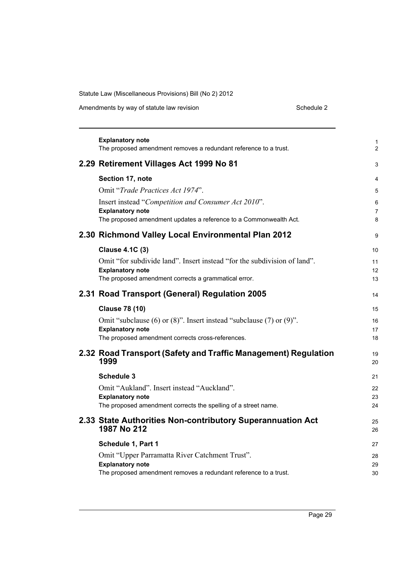Amendments by way of statute law revision

|  | Schedule 2 |  |  |  |
|--|------------|--|--|--|
|--|------------|--|--|--|

| <b>Explanatory note</b><br>The proposed amendment removes a redundant reference to a trust. | 1<br>$\overline{2}$ |
|---------------------------------------------------------------------------------------------|---------------------|
| 2.29 Retirement Villages Act 1999 No 81                                                     | 3                   |
| Section 17, note                                                                            | 4                   |
| Omit "Trade Practices Act 1974".                                                            | 5                   |
| Insert instead "Competition and Consumer Act 2010".<br><b>Explanatory note</b>              | 6<br>7              |
| The proposed amendment updates a reference to a Commonwealth Act.                           | 8                   |
| 2.30 Richmond Valley Local Environmental Plan 2012                                          | 9                   |
| <b>Clause 4.1C (3)</b>                                                                      | 10                  |
| Omit "for subdivide land". Insert instead "for the subdivision of land".                    | 11                  |
| <b>Explanatory note</b><br>The proposed amendment corrects a grammatical error.             | 12                  |
|                                                                                             | 13                  |
| 2.31 Road Transport (General) Regulation 2005                                               | 14                  |
| <b>Clause 78 (10)</b>                                                                       | 15                  |
| Omit "subclause (6) or $(8)$ ". Insert instead "subclause (7) or $(9)$ ".                   | 16                  |
| <b>Explanatory note</b>                                                                     | 17                  |
| The proposed amendment corrects cross-references.                                           | 18                  |
| 2.32 Road Transport (Safety and Traffic Management) Regulation<br>1999                      | 19<br>20            |
| <b>Schedule 3</b>                                                                           | 21                  |
| Omit "Aukland". Insert instead "Auckland".                                                  | 22                  |
| <b>Explanatory note</b>                                                                     | 23<br>24            |
| The proposed amendment corrects the spelling of a street name.                              |                     |
| 2.33 State Authorities Non-contributory Superannuation Act<br>1987 No 212                   | 25<br>26            |
| Schedule 1, Part 1                                                                          | 27                  |
| Omit "Upper Parramatta River Catchment Trust".                                              | 28                  |
| <b>Explanatory note</b>                                                                     | 29                  |
| The proposed amendment removes a redundant reference to a trust.                            | 30                  |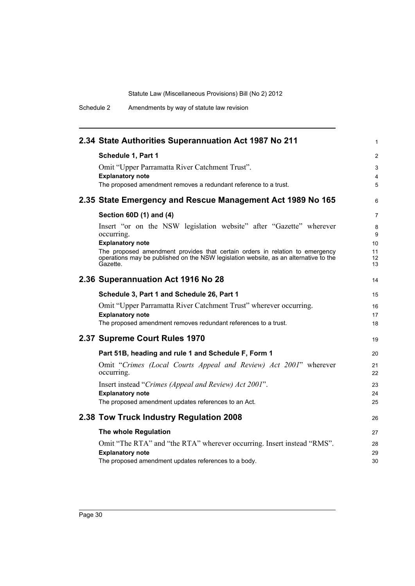Schedule 2 Amendments by way of statute law revision

| 2.34 State Authorities Superannuation Act 1987 No 211                                                                                                                            | 1              |
|----------------------------------------------------------------------------------------------------------------------------------------------------------------------------------|----------------|
| Schedule 1, Part 1                                                                                                                                                               | 2              |
| Omit "Upper Parramatta River Catchment Trust".                                                                                                                                   | 3              |
| <b>Explanatory note</b>                                                                                                                                                          | 4              |
| The proposed amendment removes a redundant reference to a trust.                                                                                                                 | 5              |
| 2.35 State Emergency and Rescue Management Act 1989 No 165                                                                                                                       | 6              |
| Section 60D (1) and (4)                                                                                                                                                          | 7              |
| Insert "or on the NSW legislation website" after "Gazette" wherever<br>occurring.                                                                                                | 8<br>9         |
| <b>Explanatory note</b>                                                                                                                                                          | 10             |
| The proposed amendment provides that certain orders in relation to emergency<br>operations may be published on the NSW legislation website, as an alternative to the<br>Gazette. | 11<br>12<br>13 |
| 2.36 Superannuation Act 1916 No 28                                                                                                                                               | 14             |
| Schedule 3, Part 1 and Schedule 26, Part 1                                                                                                                                       | 15             |
| Omit "Upper Parramatta River Catchment Trust" wherever occurring.                                                                                                                | 16             |
| <b>Explanatory note</b>                                                                                                                                                          | 17             |
| The proposed amendment removes redundant references to a trust.                                                                                                                  | 18             |
| 2.37 Supreme Court Rules 1970                                                                                                                                                    | 19             |
| Part 51B, heading and rule 1 and Schedule F, Form 1                                                                                                                              | 20             |
| Omit "Crimes (Local Courts Appeal and Review) Act 2001" wherever<br>occurring.                                                                                                   | 21<br>22       |
| Insert instead "Crimes (Appeal and Review) Act 2001".                                                                                                                            | 23             |
| <b>Explanatory note</b>                                                                                                                                                          | 24             |
| The proposed amendment updates references to an Act.                                                                                                                             | 25             |
| 2.38 Tow Truck Industry Regulation 2008                                                                                                                                          | 26             |
| The whole Regulation                                                                                                                                                             | 27             |
| Omit "The RTA" and "the RTA" wherever occurring. Insert instead "RMS".                                                                                                           | 28             |
| <b>Explanatory note</b>                                                                                                                                                          | 29             |
| The proposed amendment updates references to a body.                                                                                                                             | 30             |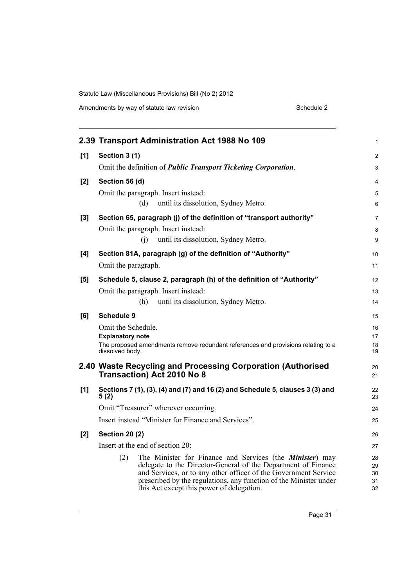|       | 2.39 Transport Administration Act 1988 No 109                                                                                    | 1              |
|-------|----------------------------------------------------------------------------------------------------------------------------------|----------------|
| [1]   | Section 3 (1)                                                                                                                    | $\overline{c}$ |
|       | Omit the definition of <i>Public Transport Ticketing Corporation</i> .                                                           | 3              |
| [2]   | Section 56 (d)                                                                                                                   | 4              |
|       | Omit the paragraph. Insert instead:                                                                                              | 5              |
|       | (d)<br>until its dissolution, Sydney Metro.                                                                                      | 6              |
| $[3]$ | Section 65, paragraph (j) of the definition of "transport authority"                                                             | $\overline{7}$ |
|       | Omit the paragraph. Insert instead:                                                                                              | 8              |
|       | (i)<br>until its dissolution, Sydney Metro.                                                                                      | 9              |
| [4]   | Section 81A, paragraph (g) of the definition of "Authority"                                                                      | 10             |
|       | Omit the paragraph.                                                                                                              | 11             |
| [5]   | Schedule 5, clause 2, paragraph (h) of the definition of "Authority"                                                             | 12             |
|       | Omit the paragraph. Insert instead:                                                                                              | 13             |
|       | (h)<br>until its dissolution, Sydney Metro.                                                                                      | 14             |
| [6]   | <b>Schedule 9</b>                                                                                                                | 15             |
|       | Omit the Schedule.                                                                                                               | 16             |
|       | <b>Explanatory note</b>                                                                                                          | 17             |
|       | The proposed amendments remove redundant references and provisions relating to a<br>dissolved body.                              | 18<br>19       |
|       | 2.40 Waste Recycling and Processing Corporation (Authorised                                                                      | 20             |
|       | <b>Transaction) Act 2010 No 8</b>                                                                                                | 21             |
| [1]   | Sections 7 (1), (3), (4) and (7) and 16 (2) and Schedule 5, clauses 3 (3) and<br>5(2)                                            | 22<br>23       |
|       | Omit "Treasurer" wherever occurring.                                                                                             | 24             |
|       | Insert instead "Minister for Finance and Services".                                                                              | 25             |
| [2]   | <b>Section 20 (2)</b>                                                                                                            | 26             |
|       | Insert at the end of section 20:                                                                                                 | 27             |
|       | (2)<br>The Minister for Finance and Services (the <i>Minister</i> ) may                                                          | 28             |
|       | delegate to the Director-General of the Department of Finance<br>and Services, or to any other officer of the Government Service | 29<br>30       |
|       | prescribed by the regulations, any function of the Minister under                                                                | 31             |
|       | this Act except this power of delegation.                                                                                        | 32             |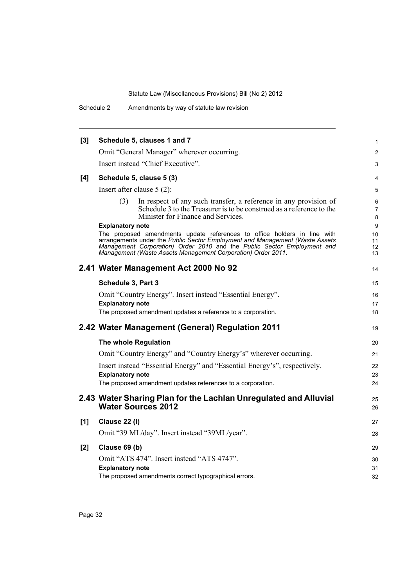Schedule 2 Amendments by way of statute law revision

| [3] |                         | Schedule 5, clauses 1 and 7                                                                                                                                                                                                                                                                         | $\mathbf{1}$         |
|-----|-------------------------|-----------------------------------------------------------------------------------------------------------------------------------------------------------------------------------------------------------------------------------------------------------------------------------------------------|----------------------|
|     |                         | Omit "General Manager" wherever occurring.                                                                                                                                                                                                                                                          | $\overline{2}$       |
|     |                         | Insert instead "Chief Executive".                                                                                                                                                                                                                                                                   | 3                    |
| [4] |                         | Schedule 5, clause 5 (3)                                                                                                                                                                                                                                                                            | $\overline{4}$       |
|     |                         | Insert after clause $5(2)$ :                                                                                                                                                                                                                                                                        | 5                    |
|     | (3)                     | In respect of any such transfer, a reference in any provision of<br>Schedule 3 to the Treasurer is to be construed as a reference to the<br>Minister for Finance and Services.                                                                                                                      | 6<br>7<br>8          |
|     | <b>Explanatory note</b> |                                                                                                                                                                                                                                                                                                     | 9                    |
|     |                         | The proposed amendments update references to office holders in line with<br>arrangements under the Public Sector Employment and Management (Waste Assets<br>Management Corporation) Order 2010 and the Public Sector Employment and<br>Management (Waste Assets Management Corporation) Order 2011. | 10<br>11<br>12<br>13 |
|     |                         | 2.41 Water Management Act 2000 No 92                                                                                                                                                                                                                                                                | 14                   |
|     | Schedule 3, Part 3      |                                                                                                                                                                                                                                                                                                     | 15                   |
|     |                         | Omit "Country Energy". Insert instead "Essential Energy".                                                                                                                                                                                                                                           | 16                   |
|     | <b>Explanatory note</b> |                                                                                                                                                                                                                                                                                                     | 17                   |
|     |                         | The proposed amendment updates a reference to a corporation.                                                                                                                                                                                                                                        | 18                   |
|     |                         | 2.42 Water Management (General) Regulation 2011                                                                                                                                                                                                                                                     | 19                   |
|     |                         | The whole Regulation                                                                                                                                                                                                                                                                                | 20                   |
|     |                         | Omit "Country Energy" and "Country Energy's" wherever occurring.                                                                                                                                                                                                                                    | 21                   |
|     |                         | Insert instead "Essential Energy" and "Essential Energy's", respectively.                                                                                                                                                                                                                           | 22                   |
|     | <b>Explanatory note</b> |                                                                                                                                                                                                                                                                                                     | 23                   |
|     |                         | The proposed amendment updates references to a corporation.                                                                                                                                                                                                                                         | 24                   |
|     |                         | 2.43 Water Sharing Plan for the Lachlan Unregulated and Alluvial<br><b>Water Sources 2012</b>                                                                                                                                                                                                       | 25<br>26             |
| [1] | Clause 22 (i)           |                                                                                                                                                                                                                                                                                                     | 27                   |
|     |                         | Omit "39 ML/day". Insert instead "39ML/year".                                                                                                                                                                                                                                                       | 28                   |
| [2] | Clause 69 (b)           |                                                                                                                                                                                                                                                                                                     | 29                   |
|     |                         | Omit "ATS 474". Insert instead "ATS 4747".                                                                                                                                                                                                                                                          | 30                   |
|     | <b>Explanatory note</b> |                                                                                                                                                                                                                                                                                                     | 31                   |
|     |                         | The proposed amendments correct typographical errors.                                                                                                                                                                                                                                               | 32                   |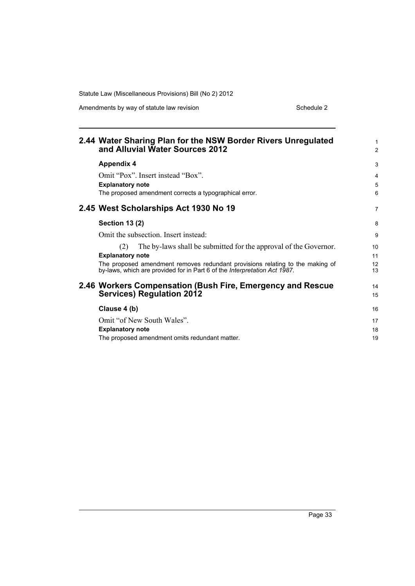Amendments by way of statute law revision example 2 Schedule 2

| 2.44 Water Sharing Plan for the NSW Border Rivers Unregulated<br>and Alluvial Water Sources 2012                                                           | $\mathbf{1}$<br>$\overline{2}$ |
|------------------------------------------------------------------------------------------------------------------------------------------------------------|--------------------------------|
| <b>Appendix 4</b>                                                                                                                                          | 3                              |
| Omit "Pox". Insert instead "Box".                                                                                                                          | 4                              |
| <b>Explanatory note</b>                                                                                                                                    | 5                              |
| The proposed amendment corrects a typographical error.                                                                                                     | 6                              |
| 2.45 West Scholarships Act 1930 No 19                                                                                                                      | $\overline{7}$                 |
| <b>Section 13 (2)</b>                                                                                                                                      | 8                              |
| Omit the subsection. Insert instead:                                                                                                                       | 9                              |
| The by-laws shall be submitted for the approval of the Governor.<br>(2)                                                                                    | 10                             |
| <b>Explanatory note</b>                                                                                                                                    | 11                             |
| The proposed amendment removes redundant provisions relating to the making of<br>by-laws, which are provided for in Part 6 of the Interpretation Act 1987. | 12<br>13                       |
| 2.46 Workers Compensation (Bush Fire, Emergency and Rescue<br><b>Services) Regulation 2012</b>                                                             | 14<br>15                       |
| Clause 4 (b)                                                                                                                                               | 16                             |
| Omit "of New South Wales".                                                                                                                                 | 17                             |
| <b>Explanatory note</b>                                                                                                                                    | 18                             |
| The proposed amendment omits redundant matter.                                                                                                             | 19                             |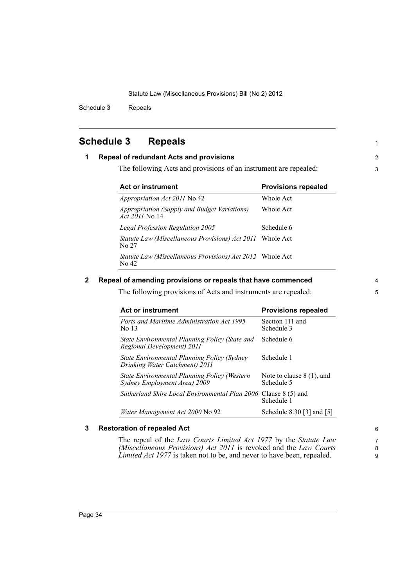Schedule 3 Repeals

# <span id="page-39-0"></span>**Schedule 3 Repeals**

## **1 Repeal of redundant Acts and provisions**

The following Acts and provisions of an instrument are repealed:

| <b>Act or instrument</b>                                                     | <b>Provisions repealed</b> |  |
|------------------------------------------------------------------------------|----------------------------|--|
| <i>Appropriation Act 2011</i> No 42                                          | Whole Act                  |  |
| <i>Appropriation (Supply and Budget Variations)</i><br><i>Act 2011</i> No 14 | Whole Act                  |  |
| Legal Profession Regulation 2005                                             | Schedule 6                 |  |
| Statute Law (Miscellaneous Provisions) Act 2011<br>No 27                     | Whole Act                  |  |
| <i>Statute Law (Miscellaneous Provisions) Act 2012</i> Whole Act<br>No 42    |                            |  |

## **2 Repeal of amending provisions or repeals that have commenced**

The following provisions of Acts and instruments are repealed:

| <b>Act or instrument</b>                                                      | <b>Provisions repealed</b>                |
|-------------------------------------------------------------------------------|-------------------------------------------|
| Ports and Maritime Administration Act 1995<br>No 13                           | Section 111 and<br>Schedule 3             |
| State Environmental Planning Policy (State and<br>Regional Development) 2011  | Schedule 6                                |
| State Environmental Planning Policy (Sydney<br>Drinking Water Catchment) 2011 | Schedule 1                                |
| State Environmental Planning Policy (Western<br>Sydney Employment Area) 2009  | Note to clause $8(1)$ , and<br>Schedule 5 |
| Sutherland Shire Local Environmental Plan 2006                                | Clause $8(5)$ and<br>Schedule 1           |
| Water Management Act 2000 No 92                                               | Schedule 8.30 [3] and [5]                 |

## **3 Restoration of repealed Act**

The repeal of the *Law Courts Limited Act 1977* by the *Statute Law (Miscellaneous Provisions) Act 2011* is revoked and the *Law Courts Limited Act 1977* is taken not to be, and never to have been, repealed.

1

2 3

6 7

8

9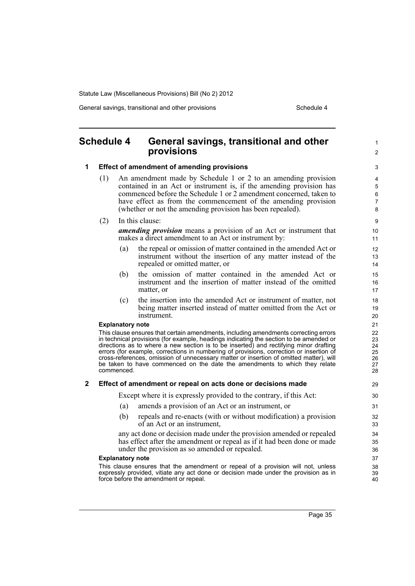General savings, transitional and other provisions Schedule 4

#### <span id="page-40-0"></span>**Schedule 4 General savings, transitional and other provisions 1 Effect of amendment of amending provisions** (1) An amendment made by Schedule 1 or 2 to an amending provision contained in an Act or instrument is, if the amending provision has commenced before the Schedule 1 or 2 amendment concerned, taken to have effect as from the commencement of the amending provision (whether or not the amending provision has been repealed). (2) In this clause: *amending provision* means a provision of an Act or instrument that makes a direct amendment to an Act or instrument by: (a) the repeal or omission of matter contained in the amended Act or instrument without the insertion of any matter instead of the repealed or omitted matter, or (b) the omission of matter contained in the amended Act or instrument and the insertion of matter instead of the omitted matter, or (c) the insertion into the amended Act or instrument of matter, not being matter inserted instead of matter omitted from the Act or instrument. **Explanatory note** This clause ensures that certain amendments, including amendments correcting errors in technical provisions (for example, headings indicating the section to be amended or directions as to where a new section is to be inserted) and rectifying minor drafting errors (for example, corrections in numbering of provisions, correction or insertion of cross-references, omission of unnecessary matter or insertion of omitted matter), will be taken to have commenced on the date the amendments to which they relate commenced. **2 Effect of amendment or repeal on acts done or decisions made** Except where it is expressly provided to the contrary, if this Act: (a) amends a provision of an Act or an instrument, or (b) repeals and re-enacts (with or without modification) a provision of an Act or an instrument, any act done or decision made under the provision amended or repealed has effect after the amendment or repeal as if it had been done or made under the provision as so amended or repealed. **Explanatory note** This clause ensures that the amendment or repeal of a provision will not, unless expressly provided, vitiate any act done or decision made under the provision as in force before the amendment or repeal. 1  $\mathfrak{p}$ 3 4 5 6 7 8 9 10 11 12 13 14 15 16 17 18 19 20 21  $22$ 23 24 25 26 27 28 29 30 31 32 33 34 35 36 37 38 39  $40$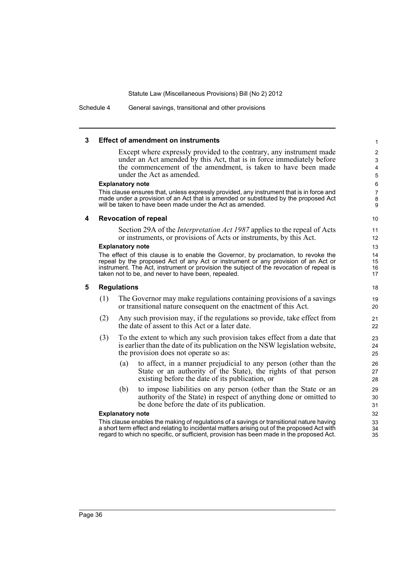Schedule 4 General savings, transitional and other provisions

#### **3 Effect of amendment on instruments**

Except where expressly provided to the contrary, any instrument made under an Act amended by this Act, that is in force immediately before the commencement of the amendment, is taken to have been made under the Act as amended.

#### **Explanatory note**

This clause ensures that, unless expressly provided, any instrument that is in force and made under a provision of an Act that is amended or substituted by the proposed Act will be taken to have been made under the Act as amended.

#### **4 Revocation of repeal**

Section 29A of the *Interpretation Act 1987* applies to the repeal of Acts or instruments, or provisions of Acts or instruments, by this Act.

#### **Explanatory note**

The effect of this clause is to enable the Governor, by proclamation, to revoke the repeal by the proposed Act of any Act or instrument or any provision of an Act or instrument. The Act, instrument or provision the subject of the revocation of repeal is taken not to be, and never to have been, repealed.

#### **5 Regulations**

- (1) The Governor may make regulations containing provisions of a savings or transitional nature consequent on the enactment of this Act.
- (2) Any such provision may, if the regulations so provide, take effect from the date of assent to this Act or a later date.
- (3) To the extent to which any such provision takes effect from a date that is earlier than the date of its publication on the NSW legislation website, the provision does not operate so as:
	- (a) to affect, in a manner prejudicial to any person (other than the State or an authority of the State), the rights of that person existing before the date of its publication, or
	- (b) to impose liabilities on any person (other than the State or an authority of the State) in respect of anything done or omitted to be done before the date of its publication.

#### **Explanatory note**

This clause enables the making of regulations of a savings or transitional nature having a short term effect and relating to incidental matters arising out of the proposed Act with regard to which no specific, or sufficient, provision has been made in the proposed Act.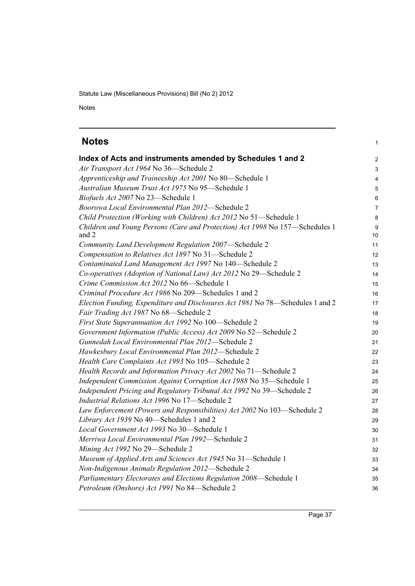Notes

<span id="page-42-0"></span>

| <b>Notes</b>                                                                          | 1              |
|---------------------------------------------------------------------------------------|----------------|
| Index of Acts and instruments amended by Schedules 1 and 2                            | $\overline{c}$ |
| Air Transport Act 1964 No 36-Schedule 2                                               | 3              |
| Apprenticeship and Traineeship Act 2001 No 80-Schedule 1                              | 4              |
| Australian Museum Trust Act 1975 No 95-Schedule 1                                     | 5              |
| Biofuels Act 2007 No 23-Schedule 1                                                    | 6              |
| Boorowa Local Environmental Plan 2012-Schedule 2                                      | $\overline{7}$ |
| Child Protection (Working with Children) Act 2012 No 51-Schedule 1                    | 8              |
| Children and Young Persons (Care and Protection) Act 1998 No 157-Schedules 1<br>and 2 | 9<br>10        |
| Community Land Development Regulation 2007-Schedule 2                                 | 11             |
| Compensation to Relatives Act 1897 No 31-Schedule 2                                   | 12             |
| Contaminated Land Management Act 1997 No 140-Schedule 2                               | 13             |
| Co-operatives (Adoption of National Law) Act 2012 No 29-Schedule 2                    | 14             |
| Crime Commission Act 2012 No 66-Schedule 1                                            | 15             |
| Criminal Procedure Act 1986 No 209—Schedules 1 and 2                                  | 16             |
| Election Funding, Expenditure and Disclosures Act 1981 No 78-Schedules 1 and 2        | 17             |
| Fair Trading Act 1987 No 68-Schedule 2                                                | 18             |
| First State Superannuation Act 1992 No 100-Schedule 2                                 | 19             |
| Government Information (Public Access) Act 2009 No 52-Schedule 2                      | 20             |
| Gunnedah Local Environmental Plan 2012-Schedule 2                                     | 21             |
| Hawkesbury Local Environmental Plan 2012-Schedule 2                                   | 22             |
| Health Care Complaints Act 1993 No 105-Schedule 2                                     | 23             |
| Health Records and Information Privacy Act 2002 No 71-Schedule 2                      | 24             |
| Independent Commission Against Corruption Act 1988 No 35-Schedule 1                   | 25             |
| Independent Pricing and Regulatory Tribunal Act 1992 No 39-Schedule 2                 | 26             |
| Industrial Relations Act 1996 No 17-Schedule 2                                        | 27             |
| Law Enforcement (Powers and Responsibilities) Act 2002 No 103-Schedule 2              | 28             |
| Library Act 1939 No 40-Schedules 1 and 2                                              | 29             |
| Local Government Act 1993 No 30-Schedule 1                                            | 30             |
| Merriwa Local Environmental Plan 1992-Schedule 2                                      | 31             |
| Mining Act 1992 No 29-Schedule 2                                                      | 32             |
| Museum of Applied Arts and Sciences Act 1945 No 31-Schedule 1                         | 33             |
| Non-Indigenous Animals Regulation 2012-Schedule 2                                     | 34             |
| Parliamentary Electorates and Elections Regulation 2008-Schedule 1                    | 35             |
| Petroleum (Onshore) Act 1991 No 84-Schedule 2                                         | 36             |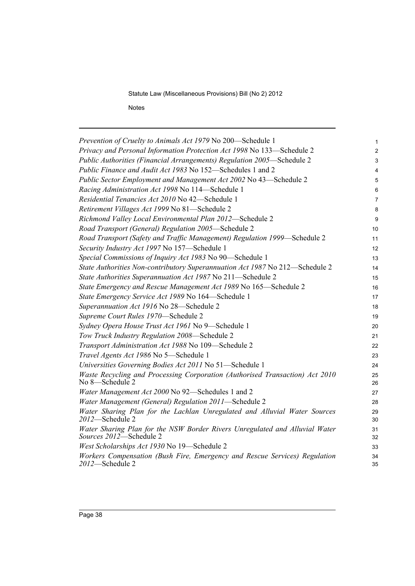Notes

| Prevention of Cruelty to Animals Act 1979 No 200-Schedule 1                                                    | 1              |
|----------------------------------------------------------------------------------------------------------------|----------------|
| Privacy and Personal Information Protection Act 1998 No 133-Schedule 2                                         | $\overline{2}$ |
| Public Authorities (Financial Arrangements) Regulation 2005–Schedule 2                                         | 3              |
| Public Finance and Audit Act 1983 No 152—Schedules 1 and 2                                                     | 4              |
| Public Sector Employment and Management Act 2002 No 43-Schedule 2                                              | 5              |
| Racing Administration Act 1998 No 114-Schedule 1                                                               | 6              |
| Residential Tenancies Act 2010 No 42-Schedule 1                                                                | 7              |
| Retirement Villages Act 1999 No 81-Schedule 2                                                                  | 8              |
| Richmond Valley Local Environmental Plan 2012-Schedule 2                                                       | 9              |
| Road Transport (General) Regulation 2005-Schedule 2                                                            | 10             |
| Road Transport (Safety and Traffic Management) Regulation 1999—Schedule 2                                      | 11             |
| Security Industry Act 1997 No 157-Schedule 1                                                                   | 12             |
| Special Commissions of Inquiry Act 1983 No 90-Schedule 1                                                       | 13             |
| State Authorities Non-contributory Superannuation Act 1987 No 212-Schedule 2                                   | 14             |
| State Authorities Superannuation Act 1987 No 211-Schedule 2                                                    | 15             |
| State Emergency and Rescue Management Act 1989 No 165-Schedule 2                                               | 16             |
| State Emergency Service Act 1989 No 164-Schedule 1                                                             | 17             |
| Superannuation Act 1916 No 28-Schedule 2                                                                       | 18             |
| Supreme Court Rules 1970-Schedule 2                                                                            | 19             |
| Sydney Opera House Trust Act 1961 No 9-Schedule 1                                                              | 20             |
| Tow Truck Industry Regulation 2008-Schedule 2                                                                  | 21             |
| Transport Administration Act 1988 No 109-Schedule 2                                                            | 22             |
| Travel Agents Act 1986 No 5-Schedule 1                                                                         | 23             |
| Universities Governing Bodies Act 2011 No 51-Schedule 1                                                        | 24             |
| Waste Recycling and Processing Corporation (Authorised Transaction) Act 2010<br>No 8-Schedule 2                | 25<br>26       |
| Water Management Act 2000 No 92-Schedules 1 and 2                                                              | 27             |
| Water Management (General) Regulation 2011—Schedule 2                                                          | 28             |
| Water Sharing Plan for the Lachlan Unregulated and Alluvial Water Sources<br>2012-Schedule 2                   | 29<br>30       |
| Water Sharing Plan for the NSW Border Rivers Unregulated and Alluvial Water<br><i>Sources 2012</i> —Schedule 2 | 31<br>32       |
| West Scholarships Act 1930 No 19-Schedule 2                                                                    | 33             |
| Workers Compensation (Bush Fire, Emergency and Rescue Services) Regulation<br>2012-Schedule 2                  | 34<br>35       |
|                                                                                                                |                |